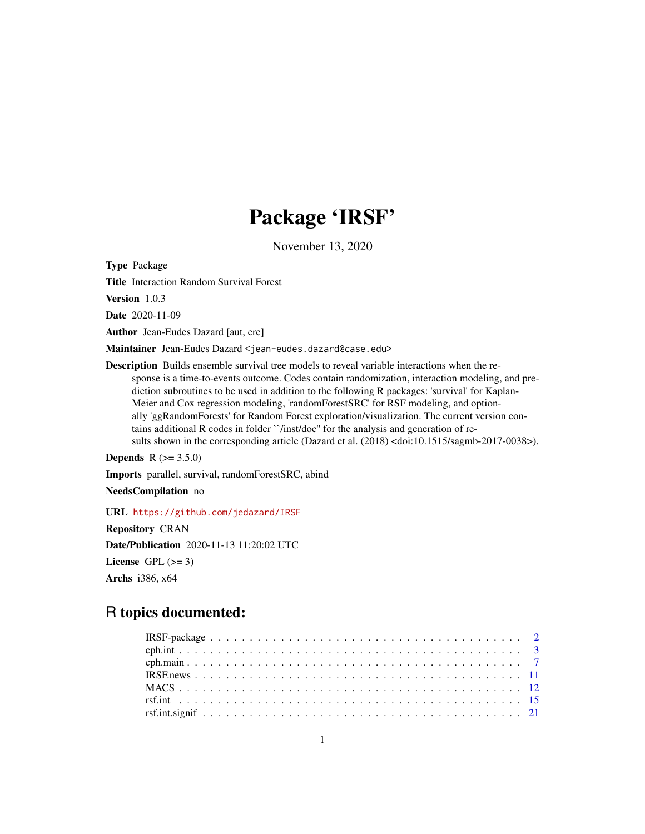# Package 'IRSF'

November 13, 2020

Type Package

Title Interaction Random Survival Forest

Version 1.0.3

Date 2020-11-09

Author Jean-Eudes Dazard [aut, cre]

Maintainer Jean-Eudes Dazard <jean-eudes.dazard@case.edu>

Description Builds ensemble survival tree models to reveal variable interactions when the response is a time-to-events outcome. Codes contain randomization, interaction modeling, and prediction subroutines to be used in addition to the following R packages: 'survival' for Kaplan-Meier and Cox regression modeling, 'randomForestSRC' for RSF modeling, and optionally 'ggRandomForests' for Random Forest exploration/visualization. The current version contains additional R codes in folder ``/inst/doc'' for the analysis and generation of results shown in the corresponding article (Dazard et al.  $(2018)$  <doi:10.1515/sagmb-2017-0038>).

```
Depends R (>= 3.5.0)
```
Imports parallel, survival, randomForestSRC, abind

NeedsCompilation no

URL <https://github.com/jedazard/IRSF>

Repository CRAN Date/Publication 2020-11-13 11:20:02 UTC License GPL  $(>= 3)$ Archs i386, x64

# R topics documented: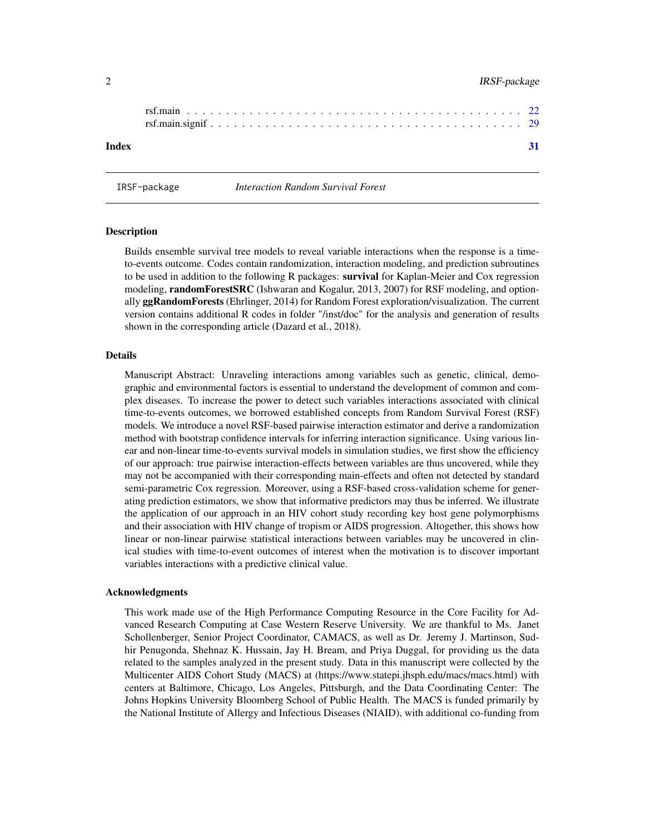### <span id="page-1-0"></span>2 a contract the contract of the contract of the contract of the contract of the contract of the contract of the contract of the contract of the contract of the contract of the contract of the contract of the contract of t

| Index |  |  |  |  |  |  |  |  |  |  |  |  |  |  |  |  |  |
|-------|--|--|--|--|--|--|--|--|--|--|--|--|--|--|--|--|--|

IRSF-package *Interaction Random Survival Forest*

# Description

Builds ensemble survival tree models to reveal variable interactions when the response is a timeto-events outcome. Codes contain randomization, interaction modeling, and prediction subroutines to be used in addition to the following R packages: survival for Kaplan-Meier and Cox regression modeling, **randomForestSRC** (Ishwaran and Kogalur, 2013, 2007) for RSF modeling, and optionally ggRandomForests (Ehrlinger, 2014) for Random Forest exploration/visualization. The current version contains additional R codes in folder "/inst/doc" for the analysis and generation of results shown in the corresponding article (Dazard et al., 2018).

#### Details

Manuscript Abstract: Unraveling interactions among variables such as genetic, clinical, demographic and environmental factors is essential to understand the development of common and complex diseases. To increase the power to detect such variables interactions associated with clinical time-to-events outcomes, we borrowed established concepts from Random Survival Forest (RSF) models. We introduce a novel RSF-based pairwise interaction estimator and derive a randomization method with bootstrap confidence intervals for inferring interaction significance. Using various linear and non-linear time-to-events survival models in simulation studies, we first show the efficiency of our approach: true pairwise interaction-effects between variables are thus uncovered, while they may not be accompanied with their corresponding main-effects and often not detected by standard semi-parametric Cox regression. Moreover, using a RSF-based cross-validation scheme for generating prediction estimators, we show that informative predictors may thus be inferred. We illustrate the application of our approach in an HIV cohort study recording key host gene polymorphisms and their association with HIV change of tropism or AIDS progression. Altogether, this shows how linear or non-linear pairwise statistical interactions between variables may be uncovered in clinical studies with time-to-event outcomes of interest when the motivation is to discover important variables interactions with a predictive clinical value.

#### Acknowledgments

This work made use of the High Performance Computing Resource in the Core Facility for Advanced Research Computing at Case Western Reserve University. We are thankful to Ms. Janet Schollenberger, Senior Project Coordinator, CAMACS, as well as Dr. Jeremy J. Martinson, Sudhir Penugonda, Shehnaz K. Hussain, Jay H. Bream, and Priya Duggal, for providing us the data related to the samples analyzed in the present study. Data in this manuscript were collected by the Multicenter AIDS Cohort Study (MACS) at (https://www.statepi.jhsph.edu/macs/macs.html) with centers at Baltimore, Chicago, Los Angeles, Pittsburgh, and the Data Coordinating Center: The Johns Hopkins University Bloomberg School of Public Health. The MACS is funded primarily by the National Institute of Allergy and Infectious Diseases (NIAID), with additional co-funding from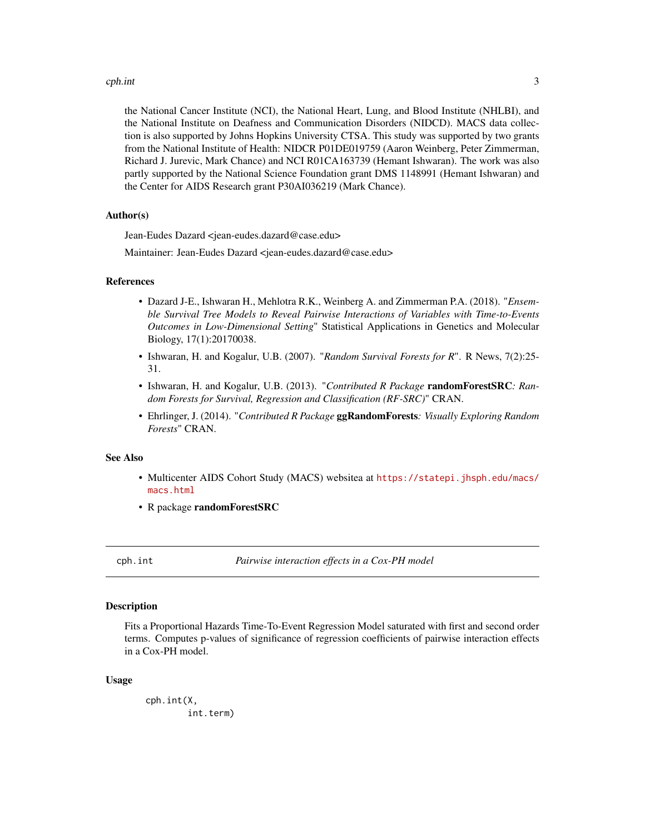#### <span id="page-2-0"></span>cph.int 3

the National Cancer Institute (NCI), the National Heart, Lung, and Blood Institute (NHLBI), and the National Institute on Deafness and Communication Disorders (NIDCD). MACS data collection is also supported by Johns Hopkins University CTSA. This study was supported by two grants from the National Institute of Health: NIDCR P01DE019759 (Aaron Weinberg, Peter Zimmerman, Richard J. Jurevic, Mark Chance) and NCI R01CA163739 (Hemant Ishwaran). The work was also partly supported by the National Science Foundation grant DMS 1148991 (Hemant Ishwaran) and the Center for AIDS Research grant P30AI036219 (Mark Chance).

#### Author(s)

Jean-Eudes Dazard <jean-eudes.dazard@case.edu>

Maintainer: Jean-Eudes Dazard <jean-eudes.dazard@case.edu>

#### References

- Dazard J-E., Ishwaran H., Mehlotra R.K., Weinberg A. and Zimmerman P.A. (2018). "*Ensemble Survival Tree Models to Reveal Pairwise Interactions of Variables with Time-to-Events Outcomes in Low-Dimensional Setting*" Statistical Applications in Genetics and Molecular Biology, 17(1):20170038.
- Ishwaran, H. and Kogalur, U.B. (2007). "*Random Survival Forests for R*". R News, 7(2):25- 31.
- Ishwaran, H. and Kogalur, U.B. (2013). "*Contributed R Package* randomForestSRC*: Random Forests for Survival, Regression and Classification (RF-SRC)*" CRAN.
- Ehrlinger, J. (2014). "*Contributed R Package* ggRandomForests*: Visually Exploring Random Forests*" CRAN.

#### See Also

- Multicenter AIDS Cohort Study (MACS) websitea at [https://statepi.jhsph.edu/macs/](https://statepi.jhsph.edu/macs/macs.html) [macs.html](https://statepi.jhsph.edu/macs/macs.html)
- R package randomForestSRC

cph.int *Pairwise interaction effects in a Cox-PH model*

#### Description

Fits a Proportional Hazards Time-To-Event Regression Model saturated with first and second order terms. Computes p-values of significance of regression coefficients of pairwise interaction effects in a Cox-PH model.

#### Usage

cph.int(X, int.term)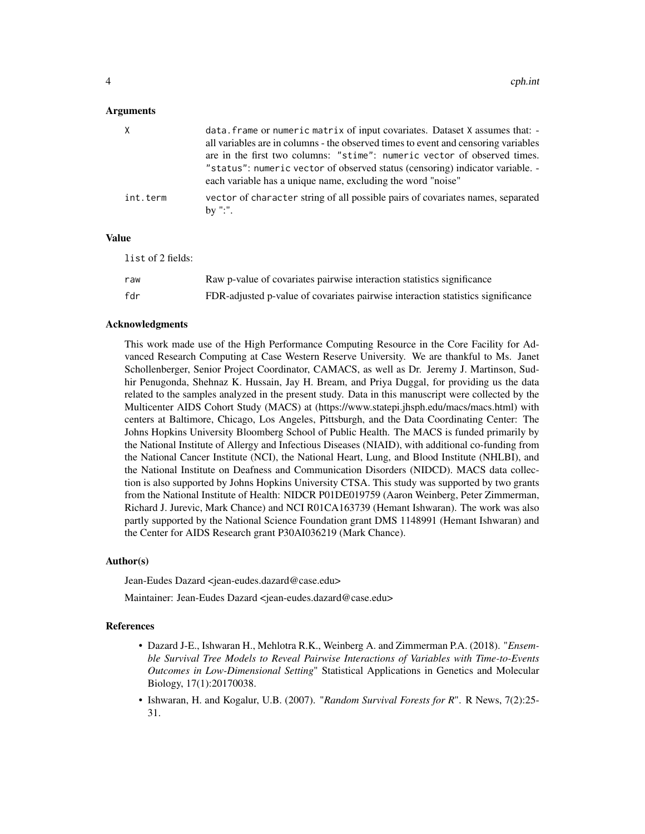#### Arguments

| X        | data. frame or numeric matrix of input covariates. Dataset X assumes that: -<br>all variables are in columns - the observed times to event and censoring variables<br>are in the first two columns: "stime": numeric vector of observed times.<br>" status": numeric vector of observed status (censoring) indicator variable. -<br>each variable has a unique name, excluding the word "noise" |
|----------|-------------------------------------------------------------------------------------------------------------------------------------------------------------------------------------------------------------------------------------------------------------------------------------------------------------------------------------------------------------------------------------------------|
| int.term | vector of character string of all possible pairs of covariates names, separated<br>by ":".                                                                                                                                                                                                                                                                                                      |

#### Value

list of 2 fields:

| raw | Raw p-value of covariates pairwise interaction statistics significance          |
|-----|---------------------------------------------------------------------------------|
| fdr | FDR-adjusted p-value of covariates pairwise interaction statistics significance |

#### Acknowledgments

This work made use of the High Performance Computing Resource in the Core Facility for Advanced Research Computing at Case Western Reserve University. We are thankful to Ms. Janet Schollenberger, Senior Project Coordinator, CAMACS, as well as Dr. Jeremy J. Martinson, Sudhir Penugonda, Shehnaz K. Hussain, Jay H. Bream, and Priya Duggal, for providing us the data related to the samples analyzed in the present study. Data in this manuscript were collected by the Multicenter AIDS Cohort Study (MACS) at (https://www.statepi.jhsph.edu/macs/macs.html) with centers at Baltimore, Chicago, Los Angeles, Pittsburgh, and the Data Coordinating Center: The Johns Hopkins University Bloomberg School of Public Health. The MACS is funded primarily by the National Institute of Allergy and Infectious Diseases (NIAID), with additional co-funding from the National Cancer Institute (NCI), the National Heart, Lung, and Blood Institute (NHLBI), and the National Institute on Deafness and Communication Disorders (NIDCD). MACS data collection is also supported by Johns Hopkins University CTSA. This study was supported by two grants from the National Institute of Health: NIDCR P01DE019759 (Aaron Weinberg, Peter Zimmerman, Richard J. Jurevic, Mark Chance) and NCI R01CA163739 (Hemant Ishwaran). The work was also partly supported by the National Science Foundation grant DMS 1148991 (Hemant Ishwaran) and the Center for AIDS Research grant P30AI036219 (Mark Chance).

#### Author(s)

Jean-Eudes Dazard <jean-eudes.dazard@case.edu>

Maintainer: Jean-Eudes Dazard <jean-eudes.dazard@case.edu>

#### References

- Dazard J-E., Ishwaran H., Mehlotra R.K., Weinberg A. and Zimmerman P.A. (2018). "*Ensemble Survival Tree Models to Reveal Pairwise Interactions of Variables with Time-to-Events Outcomes in Low-Dimensional Setting*" Statistical Applications in Genetics and Molecular Biology, 17(1):20170038.
- Ishwaran, H. and Kogalur, U.B. (2007). "*Random Survival Forests for R*". R News, 7(2):25- 31.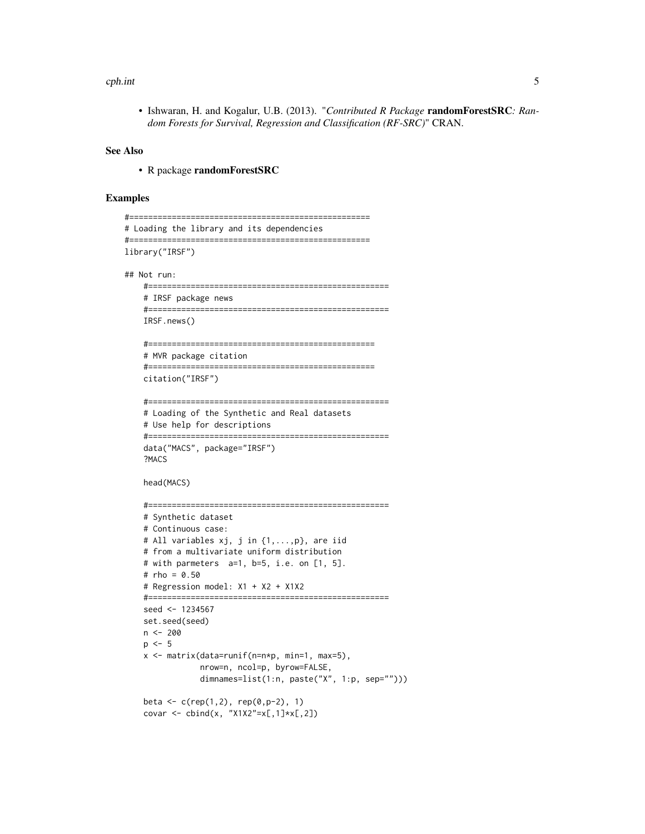#### cph.int 5

• Ishwaran, H. and Kogalur, U.B. (2013). "*Contributed R Package* randomForestSRC*: Random Forests for Survival, Regression and Classification (RF-SRC)*" CRAN.

#### See Also

• R package randomForestSRC

### Examples

```
#===================================================
# Loading the library and its dependencies
#===================================================
library("IRSF")
## Not run:
   #===================================================
   # IRSF package news
    #===================================================
   IRSF.news()
    #================================================
    # MVR package citation
    #================================================
   citation("IRSF")
    #===================================================
    # Loading of the Synthetic and Real datasets
   # Use help for descriptions
   #===================================================
   data("MACS", package="IRSF")
    ?MACS
   head(MACS)
    #===================================================
    # Synthetic dataset
   # Continuous case:
   # All variables xj, j in {1,...,p}, are iid
   # from a multivariate uniform distribution
   # with parmeters a=1, b=5, i.e. on [1, 5].
   # rho = 0.50
   # Regression model: X1 + X2 + X1X2
    #===================================================
   seed <- 1234567
   set.seed(seed)
   n <- 200
   p \le -5x <- matrix(data=runif(n=n*p, min=1, max=5),
                nrow=n, ncol=p, byrow=FALSE,
                dimnames=list(1:n, paste("X", 1:p, sep="")))
   beta <- c(rep(1,2), rep(0,p-2), 1)covar \le cbind(x, "X1X2"=x[,1]*x[,2])
```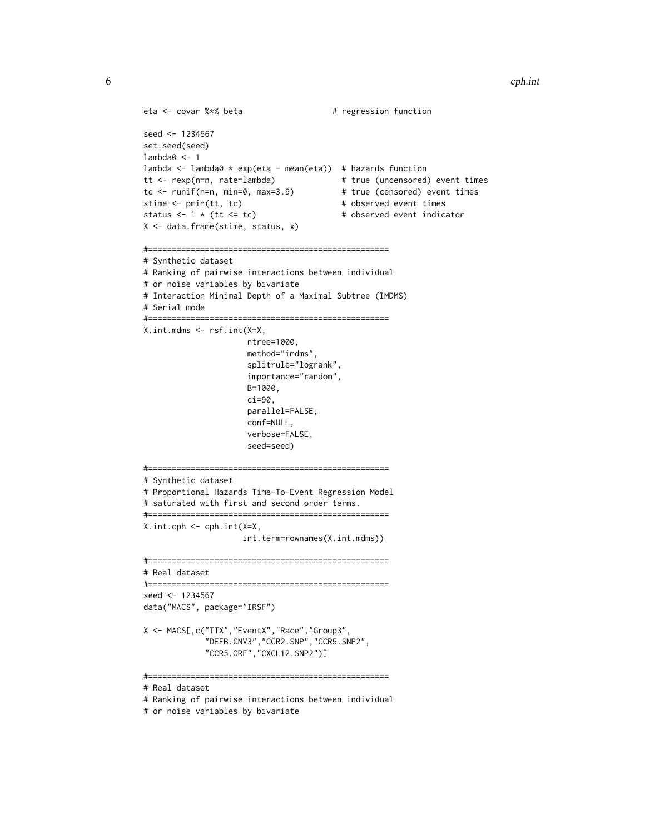```
eta <- covar %*% beta # regression function
seed <- 1234567
set.seed(seed)
lambda0 <- 1
lambda <- lambda0 * exp(eta - mean(eta)) # hazards function
tt <- rexp(n=n, rate=lambda) # true (uncensored) event times
tc <- runif(n=n, min=0, max=3.9) # true (censored) event times
stime <- pmin(tt, tc) \qquad # observed event times
status \leftarrow 1 \star (tt \leftarrow tc) \qquad # observed event indicator
X <- data.frame(stime, status, x)
#===================================================
# Synthetic dataset
# Ranking of pairwise interactions between individual
# or noise variables by bivariate
# Interaction Minimal Depth of a Maximal Subtree (IMDMS)
# Serial mode
#===================================================
X.int.mdms <- rsf.int(X=X,
                     ntree=1000,
                     method="imdms",
                     splitrule="logrank",
                     importance="random",
                     B=1000,
                     ci=90,
                     parallel=FALSE,
                     conf=NULL,
                     verbose=FALSE,
                     seed=seed)
#===================================================
# Synthetic dataset
# Proportional Hazards Time-To-Event Regression Model
# saturated with first and second order terms.
#===================================================
X.int.cph <- cph.int(X=X,
                    int.term=rownames(X.int.mdms))
#===================================================
# Real dataset
#===================================================
seed <- 1234567
data("MACS", package="IRSF")
X <- MACS[,c("TTX","EventX","Race","Group3",
             "DEFB.CNV3","CCR2.SNP","CCR5.SNP2",
            "CCR5.ORF","CXCL12.SNP2")]
#===================================================
# Real dataset
# Ranking of pairwise interactions between individual
```
# or noise variables by bivariate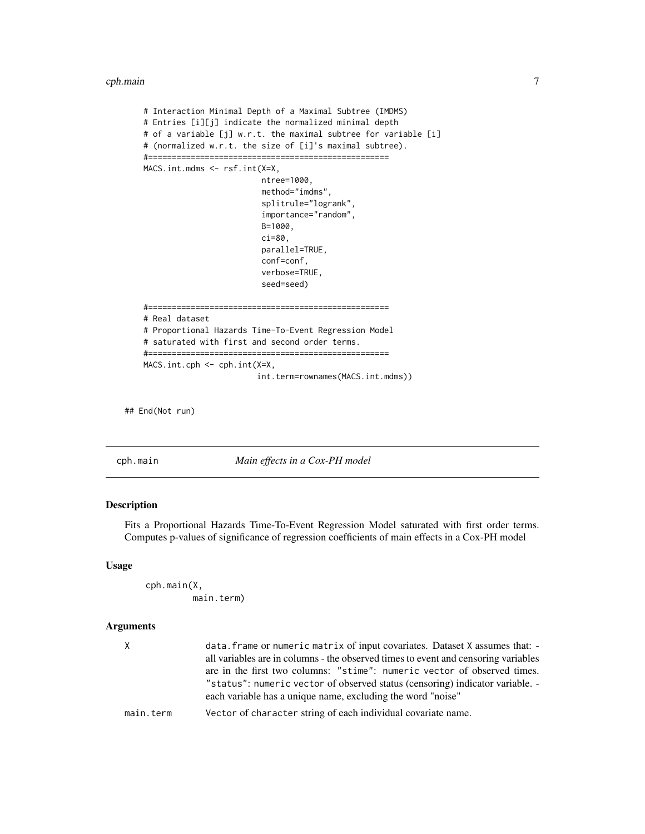<span id="page-6-0"></span>cph.main 7

```
# Interaction Minimal Depth of a Maximal Subtree (IMDMS)
# Entries [i][j] indicate the normalized minimal depth
# of a variable [j] w.r.t. the maximal subtree for variable [i]
# (normalized w.r.t. the size of [i]'s maximal subtree).
#===================================================
MACS.int.mdms <- rsf.int(X=X,
                         ntree=1000,
                         method="imdms",
                         splitrule="logrank",
                         importance="random",
                         B=1000,
                         ci=80,
                         parallel=TRUE,
                         conf=conf,
                         verbose=TRUE,
                         seed=seed)
#===================================================
# Real dataset
# Proportional Hazards Time-To-Event Regression Model
# saturated with first and second order terms.
#===================================================
MACS.int.cph <- cph.int(X=X,
                        int.term=rownames(MACS.int.mdms))
```
## End(Not run)

cph.main *Main effects in a Cox-PH model*

# Description

Fits a Proportional Hazards Time-To-Event Regression Model saturated with first order terms. Computes p-values of significance of regression coefficients of main effects in a Cox-PH model

#### Usage

```
cph.main(X,
         main.term)
```
# Arguments

| $\mathsf{X}$ | data. frame or numeric matrix of input covariates. Dataset X assumes that: -<br>all variables are in columns - the observed times to event and censoring variables<br>are in the first two columns: "stime": numeric vector of observed times.<br>" status": numeric vector of observed status (censoring) indicator variable. -<br>each variable has a unique name, excluding the word "noise" |
|--------------|-------------------------------------------------------------------------------------------------------------------------------------------------------------------------------------------------------------------------------------------------------------------------------------------------------------------------------------------------------------------------------------------------|
| main.term    | Vector of character string of each individual covariate name.                                                                                                                                                                                                                                                                                                                                   |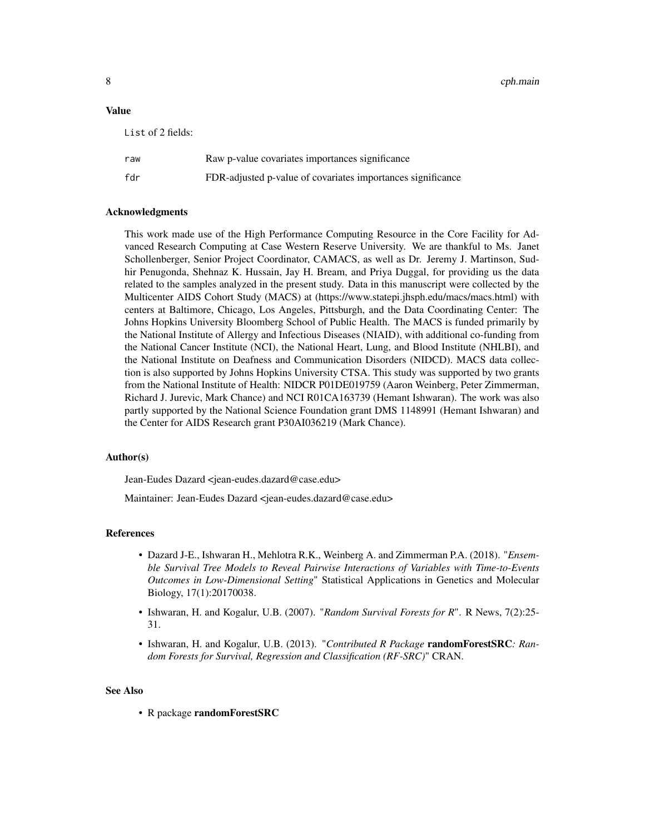8 cph.main community of the community of the community of the community of the community of the community of the community of the community of the community of the community of the community of the community of the communi

#### Value

| List of 2 fields: |                                                             |
|-------------------|-------------------------------------------------------------|
| raw               | Raw p-value covariates importances significance             |
| fdr               | FDR-adjusted p-value of covariates importances significance |

#### Acknowledgments

This work made use of the High Performance Computing Resource in the Core Facility for Advanced Research Computing at Case Western Reserve University. We are thankful to Ms. Janet Schollenberger, Senior Project Coordinator, CAMACS, as well as Dr. Jeremy J. Martinson, Sudhir Penugonda, Shehnaz K. Hussain, Jay H. Bream, and Priya Duggal, for providing us the data related to the samples analyzed in the present study. Data in this manuscript were collected by the Multicenter AIDS Cohort Study (MACS) at (https://www.statepi.jhsph.edu/macs/macs.html) with centers at Baltimore, Chicago, Los Angeles, Pittsburgh, and the Data Coordinating Center: The Johns Hopkins University Bloomberg School of Public Health. The MACS is funded primarily by the National Institute of Allergy and Infectious Diseases (NIAID), with additional co-funding from the National Cancer Institute (NCI), the National Heart, Lung, and Blood Institute (NHLBI), and the National Institute on Deafness and Communication Disorders (NIDCD). MACS data collection is also supported by Johns Hopkins University CTSA. This study was supported by two grants from the National Institute of Health: NIDCR P01DE019759 (Aaron Weinberg, Peter Zimmerman, Richard J. Jurevic, Mark Chance) and NCI R01CA163739 (Hemant Ishwaran). The work was also partly supported by the National Science Foundation grant DMS 1148991 (Hemant Ishwaran) and the Center for AIDS Research grant P30AI036219 (Mark Chance).

#### Author(s)

Jean-Eudes Dazard <jean-eudes.dazard@case.edu>

Maintainer: Jean-Eudes Dazard <jean-eudes.dazard@case.edu>

#### References

- Dazard J-E., Ishwaran H., Mehlotra R.K., Weinberg A. and Zimmerman P.A. (2018). "*Ensemble Survival Tree Models to Reveal Pairwise Interactions of Variables with Time-to-Events Outcomes in Low-Dimensional Setting*" Statistical Applications in Genetics and Molecular Biology, 17(1):20170038.
- Ishwaran, H. and Kogalur, U.B. (2007). "*Random Survival Forests for R*". R News, 7(2):25- 31.
- Ishwaran, H. and Kogalur, U.B. (2013). "*Contributed R Package* randomForestSRC*: Random Forests for Survival, Regression and Classification (RF-SRC)*" CRAN.

#### See Also

• R package randomForestSRC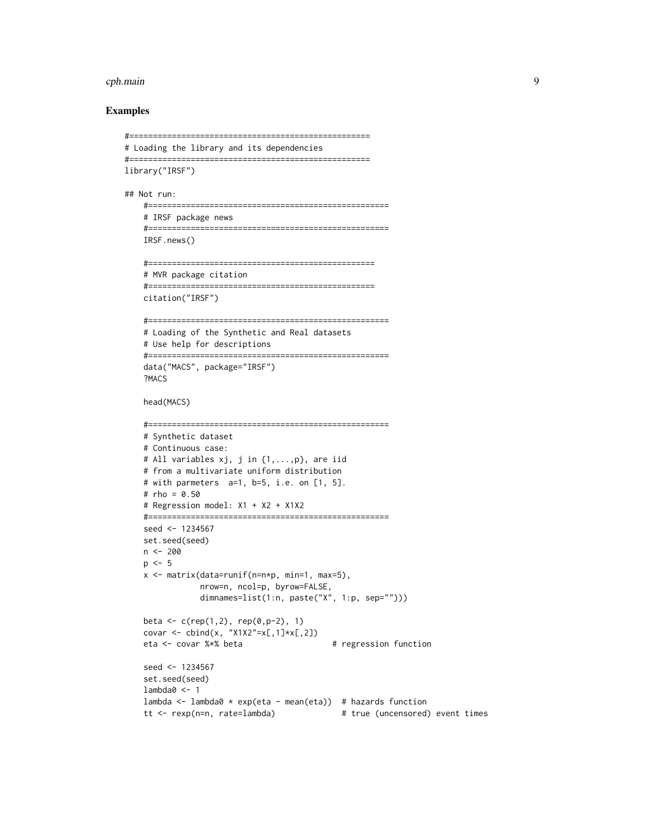#### cph.main 9

#### Examples

```
#===================================================
# Loading the library and its dependencies
#===================================================
library("IRSF")
## Not run:
   #===================================================
   # IRSF package news
   #===================================================
   IRSF.news()
   #================================================
   # MVR package citation
   #================================================
   citation("IRSF")
   #===================================================
   # Loading of the Synthetic and Real datasets
   # Use help for descriptions
   #===================================================
   data("MACS", package="IRSF")
   ?MACS
   head(MACS)
   #===================================================
   # Synthetic dataset
   # Continuous case:
   # All variables xj, j in {1,...,p}, are iid
   # from a multivariate uniform distribution
   # with parmeters a=1, b=5, i.e. on [1, 5].
   # rho = 0.50
   # Regression model: X1 + X2 + X1X2
   #===================================================
   seed <- 1234567
   set.seed(seed)
   n <- 200
   p \le -5x <- matrix(data=runif(n=n*p, min=1, max=5),
               nrow=n, ncol=p, byrow=FALSE,
               dimnames=list(1:n, paste("X", 1:p, sep="")))
   beta <- c(rep(1,2), rep(0,p-2), 1)covar \le cbind(x, "X1X2"=x[,1]*x[,2])
   eta <- covar %*% beta # regression function
   seed <- 1234567
   set.seed(seed)
   lambda0 < -1lambda <- lambda0 * exp(eta - mean(eta)) # hazards function
   tt <- rexp(n=n, rate=lambda) # true (uncensored) event times
```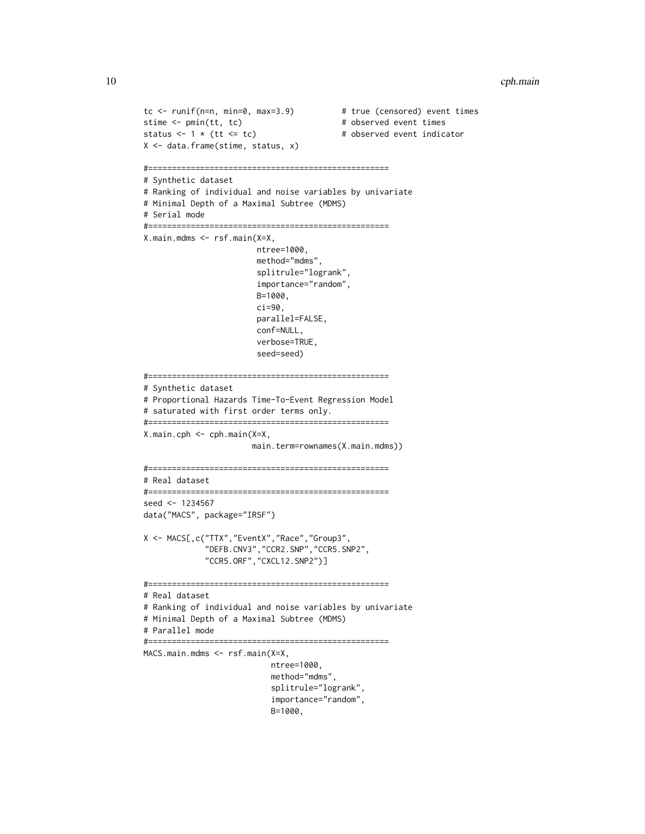```
tc <- runif(n=n, min=0, max=3.9) # true (censored) event times
stime <- pmin(tt, tc) # observed event times
status <-1 * (tt <= tc) # observed event indicator
X <- data.frame(stime, status, x)
#===================================================
# Synthetic dataset
# Ranking of individual and noise variables by univariate
# Minimal Depth of a Maximal Subtree (MDMS)
# Serial mode
#===================================================
X.main.mdms <- rsf.main(X=X,
                       ntree=1000,
                       method="mdms",
                       splitrule="logrank",
                       importance="random",
                       B=1000,
                       ci=90,
                       parallel=FALSE,
                       conf=NULL,
                       verbose=TRUE,
                       seed=seed)
#===================================================
# Synthetic dataset
# Proportional Hazards Time-To-Event Regression Model
# saturated with first order terms only.
#===================================================
X.main.cph <- cph.main(X=X,
                      main.term=rownames(X.main.mdms))
#===================================================
# Real dataset
#===================================================
seed <- 1234567
data("MACS", package="IRSF")
X <- MACS[,c("TTX","EventX","Race","Group3",
             "DEFB.CNV3","CCR2.SNP","CCR5.SNP2",
             "CCR5.ORF","CXCL12.SNP2")]
#===================================================
# Real dataset
# Ranking of individual and noise variables by univariate
# Minimal Depth of a Maximal Subtree (MDMS)
# Parallel mode
#===================================================
MACS.main.mdms <- rsf.main(X=X,
                          ntree=1000,
                          method="mdms",
                          splitrule="logrank",
                          importance="random",
                          B=1000,
```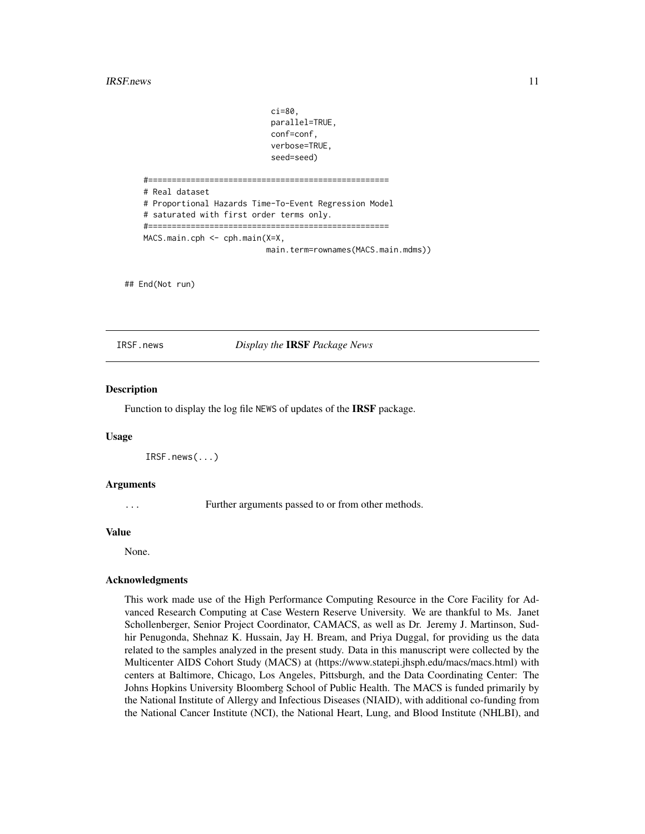#### <span id="page-10-0"></span> $IRSF. news$  11

ci=80, parallel=TRUE, conf=conf, verbose=TRUE, seed=seed) #=================================================== # Real dataset # Proportional Hazards Time-To-Event Regression Model # saturated with first order terms only. #=================================================== MACS.main.cph <- cph.main(X=X, main.term=rownames(MACS.main.mdms))

## End(Not run)

IRSF.news *Display the* IRSF *Package News*

#### **Description**

Function to display the log file NEWS of updates of the IRSF package.

#### Usage

```
IRSF.news(...)
```
#### Arguments

... Further arguments passed to or from other methods.

#### Value

None.

#### Acknowledgments

This work made use of the High Performance Computing Resource in the Core Facility for Advanced Research Computing at Case Western Reserve University. We are thankful to Ms. Janet Schollenberger, Senior Project Coordinator, CAMACS, as well as Dr. Jeremy J. Martinson, Sudhir Penugonda, Shehnaz K. Hussain, Jay H. Bream, and Priya Duggal, for providing us the data related to the samples analyzed in the present study. Data in this manuscript were collected by the Multicenter AIDS Cohort Study (MACS) at (https://www.statepi.jhsph.edu/macs/macs.html) with centers at Baltimore, Chicago, Los Angeles, Pittsburgh, and the Data Coordinating Center: The Johns Hopkins University Bloomberg School of Public Health. The MACS is funded primarily by the National Institute of Allergy and Infectious Diseases (NIAID), with additional co-funding from the National Cancer Institute (NCI), the National Heart, Lung, and Blood Institute (NHLBI), and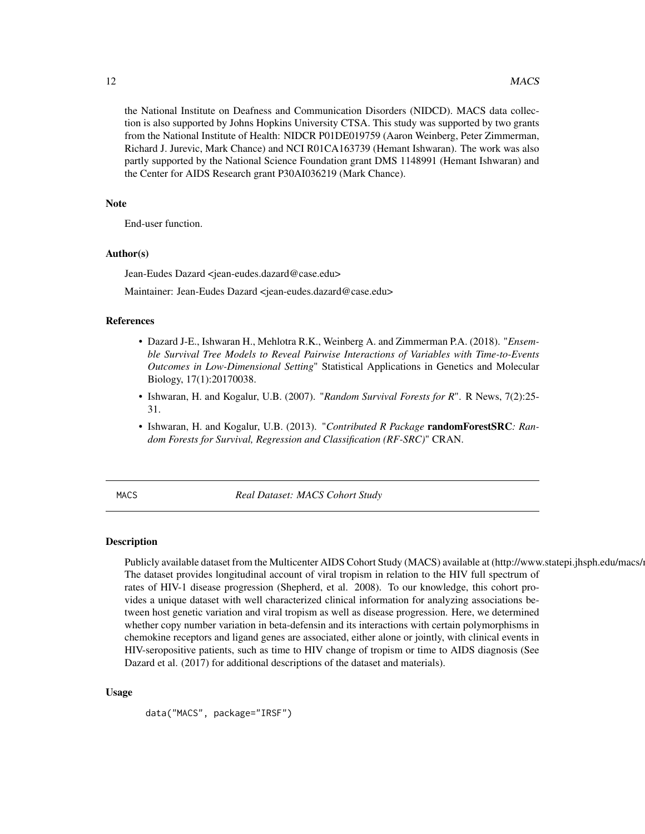<span id="page-11-0"></span>the National Institute on Deafness and Communication Disorders (NIDCD). MACS data collection is also supported by Johns Hopkins University CTSA. This study was supported by two grants from the National Institute of Health: NIDCR P01DE019759 (Aaron Weinberg, Peter Zimmerman, Richard J. Jurevic, Mark Chance) and NCI R01CA163739 (Hemant Ishwaran). The work was also partly supported by the National Science Foundation grant DMS 1148991 (Hemant Ishwaran) and the Center for AIDS Research grant P30AI036219 (Mark Chance).

#### **Note**

End-user function.

# Author(s)

Jean-Eudes Dazard <jean-eudes.dazard@case.edu>

Maintainer: Jean-Eudes Dazard <jean-eudes.dazard@case.edu>

#### References

- Dazard J-E., Ishwaran H., Mehlotra R.K., Weinberg A. and Zimmerman P.A. (2018). "*Ensemble Survival Tree Models to Reveal Pairwise Interactions of Variables with Time-to-Events Outcomes in Low-Dimensional Setting*" Statistical Applications in Genetics and Molecular Biology, 17(1):20170038.
- Ishwaran, H. and Kogalur, U.B. (2007). "*Random Survival Forests for R*". R News, 7(2):25- 31.
- Ishwaran, H. and Kogalur, U.B. (2013). "*Contributed R Package* randomForestSRC*: Random Forests for Survival, Regression and Classification (RF-SRC)*" CRAN.

MACS *Real Dataset: MACS Cohort Study*

#### Description

Publicly available dataset from the Multicenter AIDS Cohort Study (MACS) available at (http://www.statepi.jhsph.edu/macs/ The dataset provides longitudinal account of viral tropism in relation to the HIV full spectrum of rates of HIV-1 disease progression (Shepherd, et al. 2008). To our knowledge, this cohort provides a unique dataset with well characterized clinical information for analyzing associations between host genetic variation and viral tropism as well as disease progression. Here, we determined whether copy number variation in beta-defensin and its interactions with certain polymorphisms in chemokine receptors and ligand genes are associated, either alone or jointly, with clinical events in HIV-seropositive patients, such as time to HIV change of tropism or time to AIDS diagnosis (See Dazard et al. (2017) for additional descriptions of the dataset and materials).

#### Usage

data("MACS", package="IRSF")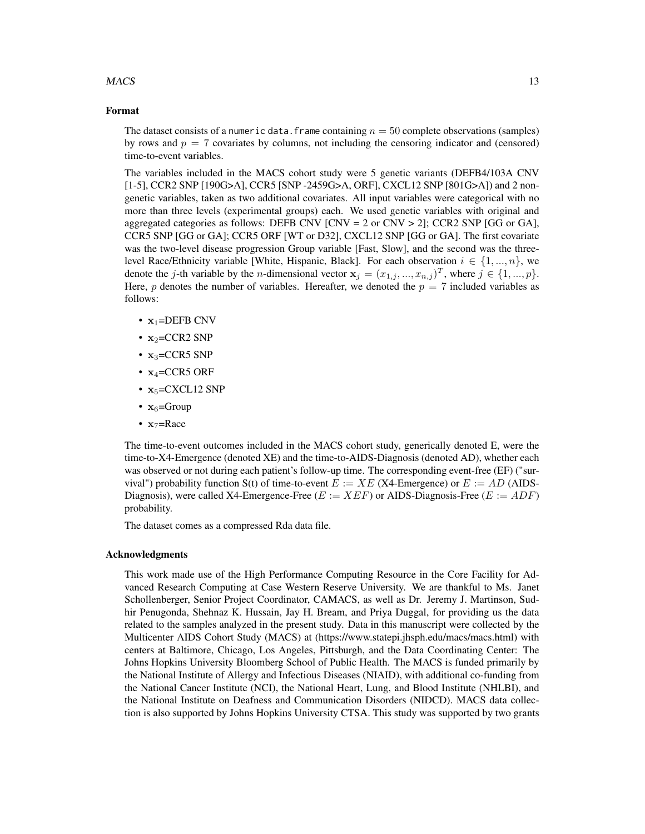#### $MACS$  13

#### Format

The dataset consists of a numeric data. frame containing  $n = 50$  complete observations (samples) by rows and  $p = 7$  covariates by columns, not including the censoring indicator and (censored) time-to-event variables.

The variables included in the MACS cohort study were 5 genetic variants (DEFB4/103A CNV [1-5], CCR2 SNP [190G>A], CCR5 [SNP -2459G>A, ORF], CXCL12 SNP [801G>A]) and 2 nongenetic variables, taken as two additional covariates. All input variables were categorical with no more than three levels (experimental groups) each. We used genetic variables with original and aggregated categories as follows: DEFB CNV [CNV = 2 or CNV > 2]; CCR2 SNP [GG or GA], CCR5 SNP [GG or GA]; CCR5 ORF [WT or D32], CXCL12 SNP [GG or GA]. The first covariate was the two-level disease progression Group variable [Fast, Slow], and the second was the threelevel Race/Ethnicity variable [White, Hispanic, Black]. For each observation  $i \in \{1, ..., n\}$ , we denote the j-th variable by the *n*-dimensional vector  $\mathbf{x}_j = (x_{1,j},...,x_{n,j})^T$ , where  $j \in \{1,...,p\}$ . Here, p denotes the number of variables. Hereafter, we denoted the  $p = 7$  included variables as follows:

- $x_1 =$ DEFB CNV
- $x_2$ =CCR2 SNP
- $x_3$ =CCR5 SNP
- $x_4$ =CCR5 ORF
- $x_5$ =CXCL12 SNP
- $x_6$ =Group
- $x_7$ =Race

The time-to-event outcomes included in the MACS cohort study, generically denoted E, were the time-to-X4-Emergence (denoted XE) and the time-to-AIDS-Diagnosis (denoted AD), whether each was observed or not during each patient's follow-up time. The corresponding event-free (EF) ("survival") probability function S(t) of time-to-event  $E := XE$  (X4-Emergence) or  $E := AD$  (AIDS-Diagnosis), were called X4-Emergence-Free ( $E := XEF$ ) or AIDS-Diagnosis-Free ( $E := ADF$ ) probability.

The dataset comes as a compressed Rda data file.

#### Acknowledgments

This work made use of the High Performance Computing Resource in the Core Facility for Advanced Research Computing at Case Western Reserve University. We are thankful to Ms. Janet Schollenberger, Senior Project Coordinator, CAMACS, as well as Dr. Jeremy J. Martinson, Sudhir Penugonda, Shehnaz K. Hussain, Jay H. Bream, and Priya Duggal, for providing us the data related to the samples analyzed in the present study. Data in this manuscript were collected by the Multicenter AIDS Cohort Study (MACS) at (https://www.statepi.jhsph.edu/macs/macs.html) with centers at Baltimore, Chicago, Los Angeles, Pittsburgh, and the Data Coordinating Center: The Johns Hopkins University Bloomberg School of Public Health. The MACS is funded primarily by the National Institute of Allergy and Infectious Diseases (NIAID), with additional co-funding from the National Cancer Institute (NCI), the National Heart, Lung, and Blood Institute (NHLBI), and the National Institute on Deafness and Communication Disorders (NIDCD). MACS data collection is also supported by Johns Hopkins University CTSA. This study was supported by two grants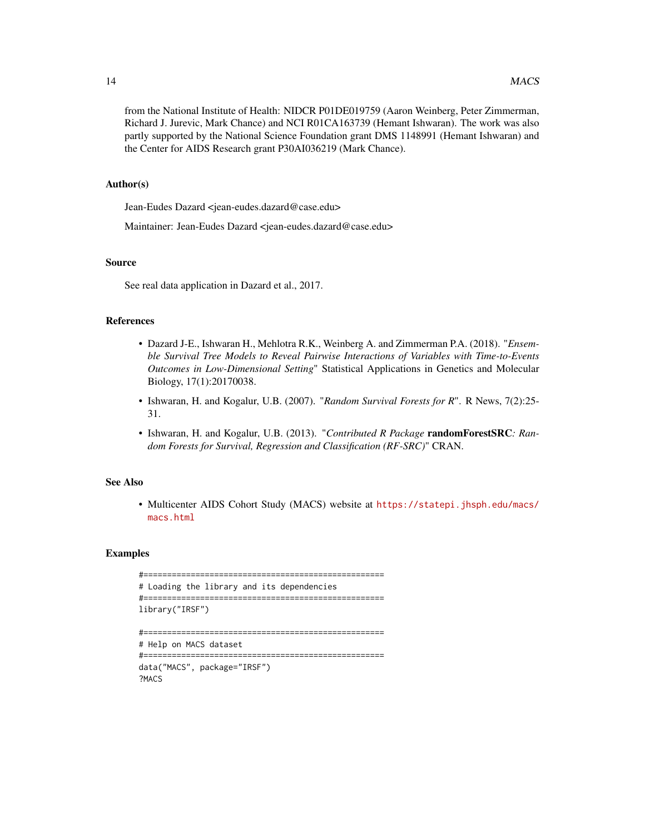from the National Institute of Health: NIDCR P01DE019759 (Aaron Weinberg, Peter Zimmerman, Richard J. Jurevic, Mark Chance) and NCI R01CA163739 (Hemant Ishwaran). The work was also partly supported by the National Science Foundation grant DMS 1148991 (Hemant Ishwaran) and the Center for AIDS Research grant P30AI036219 (Mark Chance).

# Author(s)

Jean-Eudes Dazard <jean-eudes.dazard@case.edu>

Maintainer: Jean-Eudes Dazard <jean-eudes.dazard@case.edu>

#### Source

See real data application in Dazard et al., 2017.

# References

- Dazard J-E., Ishwaran H., Mehlotra R.K., Weinberg A. and Zimmerman P.A. (2018). "*Ensemble Survival Tree Models to Reveal Pairwise Interactions of Variables with Time-to-Events Outcomes in Low-Dimensional Setting*" Statistical Applications in Genetics and Molecular Biology, 17(1):20170038.
- Ishwaran, H. and Kogalur, U.B. (2007). "*Random Survival Forests for R*". R News, 7(2):25- 31.
- Ishwaran, H. and Kogalur, U.B. (2013). "*Contributed R Package* randomForestSRC*: Random Forests for Survival, Regression and Classification (RF-SRC)*" CRAN.

#### See Also

• Multicenter AIDS Cohort Study (MACS) website at [https://statepi.jhsph.edu/macs/](https://statepi.jhsph.edu/macs/macs.html) [macs.html](https://statepi.jhsph.edu/macs/macs.html)

#### Examples

```
#===================================================
# Loading the library and its dependencies
#===================================================
library("IRSF")
#===================================================
# Help on MACS dataset
#===================================================
data("MACS", package="IRSF")
?MACS
```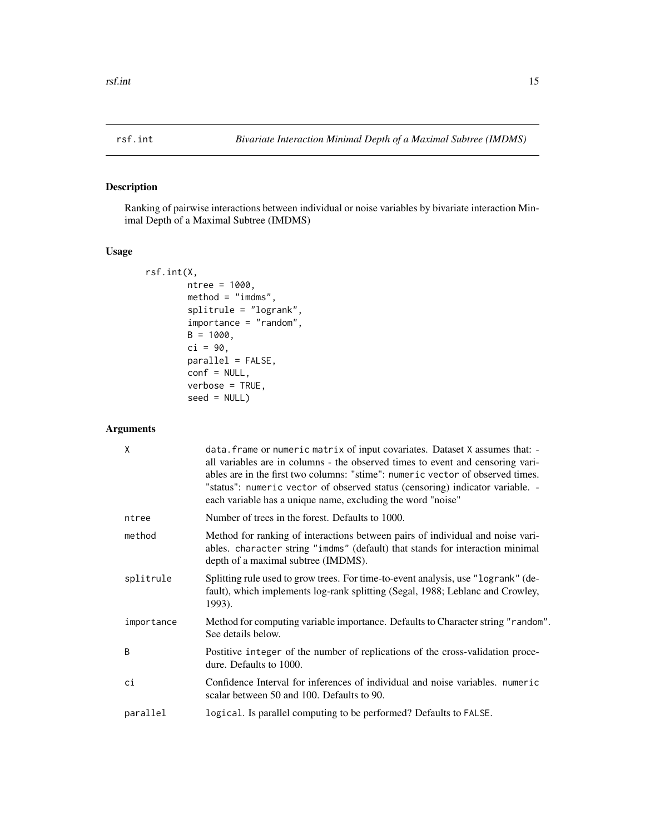# <span id="page-14-0"></span>Description

Ranking of pairwise interactions between individual or noise variables by bivariate interaction Minimal Depth of a Maximal Subtree (IMDMS)

# Usage

```
rsf.int(X,
        ntree = 1000,
        method = "imdms",splitrule = "logrank",
        importance = "random",
        B = 1000,ci = 90,
        parallel = FALSE,
        conf = NULL,verbose = TRUE,
        seed = NULL)
```
# Arguments

| X            | data. frame or numeric matrix of input covariates. Dataset X assumes that: -<br>all variables are in columns - the observed times to event and censoring vari-<br>ables are in the first two columns: "stime": numeric vector of observed times.<br>"status": numeric vector of observed status (censoring) indicator variable. -<br>each variable has a unique name, excluding the word "noise" |
|--------------|--------------------------------------------------------------------------------------------------------------------------------------------------------------------------------------------------------------------------------------------------------------------------------------------------------------------------------------------------------------------------------------------------|
| ntree        | Number of trees in the forest. Defaults to 1000.                                                                                                                                                                                                                                                                                                                                                 |
| method       | Method for ranking of interactions between pairs of individual and noise vari-<br>ables. character string "imdms" (default) that stands for interaction minimal<br>depth of a maximal subtree (IMDMS).                                                                                                                                                                                           |
| splitrule    | Splitting rule used to grow trees. For time-to-event analysis, use "logrank" (de-<br>fault), which implements log-rank splitting (Segal, 1988; Leblanc and Crowley,<br>1993).                                                                                                                                                                                                                    |
| importance   | Method for computing variable importance. Defaults to Character string "random".<br>See details below.                                                                                                                                                                                                                                                                                           |
| <sub>R</sub> | Postitive integer of the number of replications of the cross-validation proce-<br>dure. Defaults to 1000.                                                                                                                                                                                                                                                                                        |
| ci           | Confidence Interval for inferences of individual and noise variables, numeric<br>scalar between 50 and 100. Defaults to 90.                                                                                                                                                                                                                                                                      |
| parallel     | logical. Is parallel computing to be performed? Defaults to FALSE.                                                                                                                                                                                                                                                                                                                               |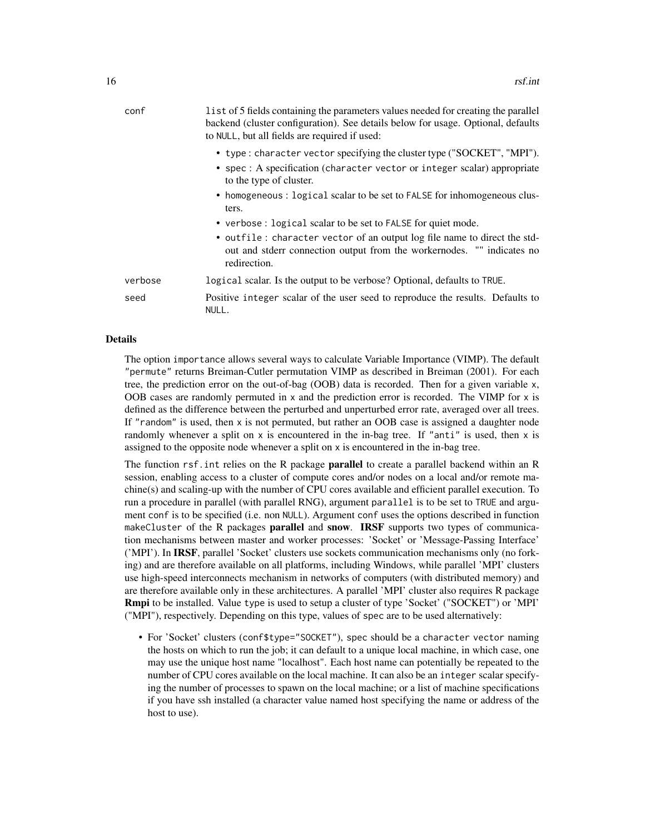| conf    | list of 5 fields containing the parameters values needed for creating the parallel<br>backend (cluster configuration). See details below for usage. Optional, defaults<br>to NULL, but all fields are required if used: |
|---------|-------------------------------------------------------------------------------------------------------------------------------------------------------------------------------------------------------------------------|
|         | • type : character vector specifying the cluster type ("SOCKET", "MPI").<br>• spec: A specification (character vector or integer scalar) appropriate<br>to the type of cluster.                                         |
|         | • homogeneous : logical scalar to be set to FALSE for inhomogeneous clus-<br>ters.                                                                                                                                      |
|         | • verbose : logical scalar to be set to FALSE for quiet mode.                                                                                                                                                           |
|         | • outfile: character vector of an output log file name to direct the std-<br>out and stderr connection output from the worker nodes. "" indicates no<br>redirection.                                                    |
| verbose | logical scalar. Is the output to be verbose? Optional, defaults to TRUE.                                                                                                                                                |
| seed    | Positive integer scalar of the user seed to reproduce the results. Defaults to<br>NULL.                                                                                                                                 |

#### Details

The option importance allows several ways to calculate Variable Importance (VIMP). The default "permute" returns Breiman-Cutler permutation VIMP as described in Breiman (2001). For each tree, the prediction error on the out-of-bag (OOB) data is recorded. Then for a given variable x, OOB cases are randomly permuted in x and the prediction error is recorded. The VIMP for x is defined as the difference between the perturbed and unperturbed error rate, averaged over all trees. If "random" is used, then  $x$  is not permuted, but rather an OOB case is assigned a daughter node randomly whenever a split on  $x$  is encountered in the in-bag tree. If "anti" is used, then  $x$  is assigned to the opposite node whenever a split on x is encountered in the in-bag tree.

The function rsf. int relies on the R package **parallel** to create a parallel backend within an R session, enabling access to a cluster of compute cores and/or nodes on a local and/or remote machine(s) and scaling-up with the number of CPU cores available and efficient parallel execution. To run a procedure in parallel (with parallel RNG), argument parallel is to be set to TRUE and argument conf is to be specified (i.e. non NULL). Argument conf uses the options described in function makeCluster of the R packages **parallel** and **snow. IRSF** supports two types of communication mechanisms between master and worker processes: 'Socket' or 'Message-Passing Interface' ('MPI'). In IRSF, parallel 'Socket' clusters use sockets communication mechanisms only (no forking) and are therefore available on all platforms, including Windows, while parallel 'MPI' clusters use high-speed interconnects mechanism in networks of computers (with distributed memory) and are therefore available only in these architectures. A parallel 'MPI' cluster also requires R package Rmpi to be installed. Value type is used to setup a cluster of type 'Socket' ("SOCKET") or 'MPI' ("MPI"), respectively. Depending on this type, values of spec are to be used alternatively:

• For 'Socket' clusters (conf\$type="SOCKET"), spec should be a character vector naming the hosts on which to run the job; it can default to a unique local machine, in which case, one may use the unique host name "localhost". Each host name can potentially be repeated to the number of CPU cores available on the local machine. It can also be an integer scalar specifying the number of processes to spawn on the local machine; or a list of machine specifications if you have ssh installed (a character value named host specifying the name or address of the host to use).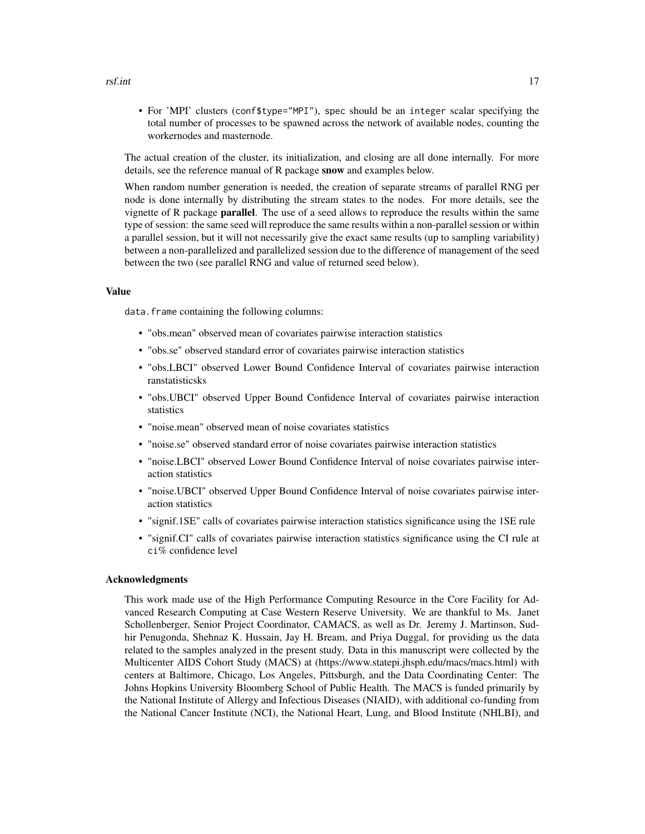#### rsf.int 17

• For 'MPI' clusters (conf\$type="MPI"), spec should be an integer scalar specifying the total number of processes to be spawned across the network of available nodes, counting the workernodes and masternode.

The actual creation of the cluster, its initialization, and closing are all done internally. For more details, see the reference manual of R package snow and examples below.

When random number generation is needed, the creation of separate streams of parallel RNG per node is done internally by distributing the stream states to the nodes. For more details, see the vignette of R package parallel. The use of a seed allows to reproduce the results within the same type of session: the same seed will reproduce the same results within a non-parallel session or within a parallel session, but it will not necessarily give the exact same results (up to sampling variability) between a non-parallelized and parallelized session due to the difference of management of the seed between the two (see parallel RNG and value of returned seed below).

#### Value

data. frame containing the following columns:

- "obs.mean" observed mean of covariates pairwise interaction statistics
- "obs.se" observed standard error of covariates pairwise interaction statistics
- "obs.LBCI" observed Lower Bound Confidence Interval of covariates pairwise interaction ranstatisticsks
- "obs.UBCI" observed Upper Bound Confidence Interval of covariates pairwise interaction statistics
- "noise.mean" observed mean of noise covariates statistics
- "noise.se" observed standard error of noise covariates pairwise interaction statistics
- "noise.LBCI" observed Lower Bound Confidence Interval of noise covariates pairwise interaction statistics
- "noise.UBCI" observed Upper Bound Confidence Interval of noise covariates pairwise interaction statistics
- "signif.1SE" calls of covariates pairwise interaction statistics significance using the 1SE rule
- "signif.CI" calls of covariates pairwise interaction statistics significance using the CI rule at ci% confidence level

#### Acknowledgments

This work made use of the High Performance Computing Resource in the Core Facility for Advanced Research Computing at Case Western Reserve University. We are thankful to Ms. Janet Schollenberger, Senior Project Coordinator, CAMACS, as well as Dr. Jeremy J. Martinson, Sudhir Penugonda, Shehnaz K. Hussain, Jay H. Bream, and Priya Duggal, for providing us the data related to the samples analyzed in the present study. Data in this manuscript were collected by the Multicenter AIDS Cohort Study (MACS) at (https://www.statepi.jhsph.edu/macs/macs.html) with centers at Baltimore, Chicago, Los Angeles, Pittsburgh, and the Data Coordinating Center: The Johns Hopkins University Bloomberg School of Public Health. The MACS is funded primarily by the National Institute of Allergy and Infectious Diseases (NIAID), with additional co-funding from the National Cancer Institute (NCI), the National Heart, Lung, and Blood Institute (NHLBI), and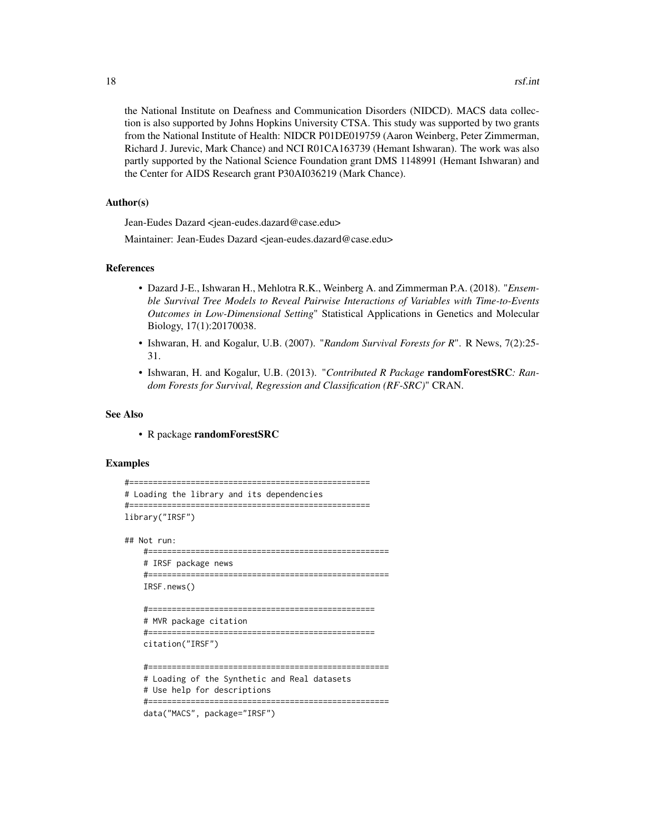the National Institute on Deafness and Communication Disorders (NIDCD). MACS data collection is also supported by Johns Hopkins University CTSA. This study was supported by two grants from the National Institute of Health: NIDCR P01DE019759 (Aaron Weinberg, Peter Zimmerman, Richard J. Jurevic, Mark Chance) and NCI R01CA163739 (Hemant Ishwaran). The work was also partly supported by the National Science Foundation grant DMS 1148991 (Hemant Ishwaran) and the Center for AIDS Research grant P30AI036219 (Mark Chance).

### Author(s)

Jean-Eudes Dazard <jean-eudes.dazard@case.edu>

Maintainer: Jean-Eudes Dazard <jean-eudes.dazard@case.edu>

#### References

- Dazard J-E., Ishwaran H., Mehlotra R.K., Weinberg A. and Zimmerman P.A. (2018). "*Ensemble Survival Tree Models to Reveal Pairwise Interactions of Variables with Time-to-Events Outcomes in Low-Dimensional Setting*" Statistical Applications in Genetics and Molecular Biology, 17(1):20170038.
- Ishwaran, H. and Kogalur, U.B. (2007). "*Random Survival Forests for R*". R News, 7(2):25- 31.
- Ishwaran, H. and Kogalur, U.B. (2013). "*Contributed R Package* randomForestSRC*: Random Forests for Survival, Regression and Classification (RF-SRC)*" CRAN.

#### See Also

• R package randomForestSRC

#### Examples

```
#===================================================
# Loading the library and its dependencies
#===================================================
library("IRSF")
## Not run:
    #===================================================
    # IRSF package news
    #===================================================
    IRSF.news()
    #================================================
    # MVR package citation
    #================================================
    citation("IRSF")
    #===================================================
    # Loading of the Synthetic and Real datasets
    # Use help for descriptions
    #===================================================
    data("MACS", package="IRSF")
```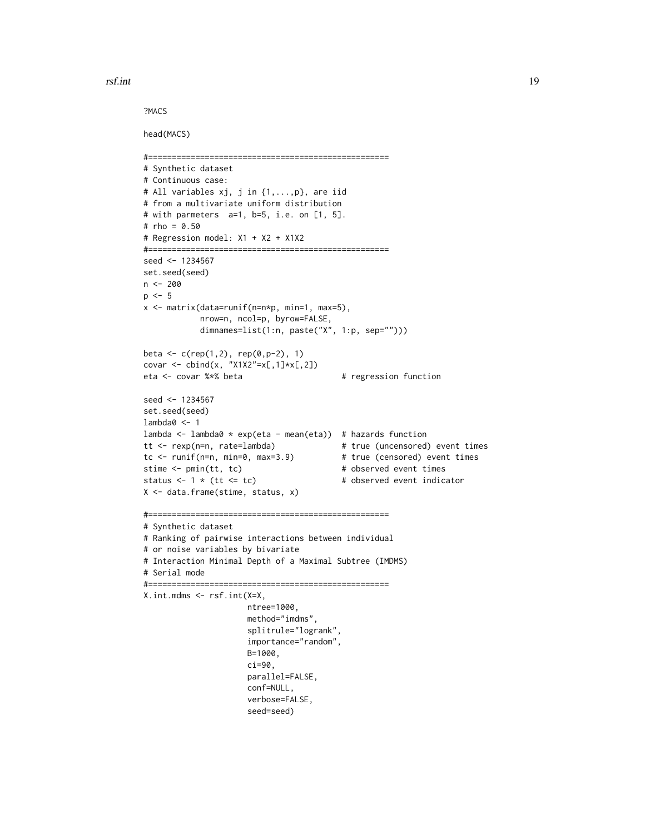rsf.int 19

?MACS

head(MACS)

```
#===================================================
# Synthetic dataset
# Continuous case:
# All variables xj, j in {1,...,p}, are iid
# from a multivariate uniform distribution
# with parmeters a=1, b=5, i.e. on [1, 5].
# rho = 0.50
# Regression model: X1 + X2 + X1X2
#===================================================
seed <- 1234567
set.seed(seed)
n <- 200
p \le -5x <- matrix(data=runif(n=n*p, min=1, max=5),
           nrow=n, ncol=p, byrow=FALSE,
           dimnames=list(1:n, paste("X", 1:p, sep="")))
beta \leq c (rep(1,2), rep(0,p-2), 1)
covar <- cbind(x, "X1X2"=x[,1]*x[,2])
eta <- covar %*% beta # regression function
seed <- 1234567
set.seed(seed)
lambda0 <- 1
lambda <- lambda0 * exp(eta - mean(eta)) # hazards function
tt <- rexp(n=n, rate=lambda) # true (uncensored) event times
tc <- runif(n=n, min=0, max=3.9) # true (censored) event times
stime <- pmin(tt, tc) # observed event times
status \leq 1 * (tt \leq tc) # observed event indicator
X <- data.frame(stime, status, x)
#===================================================
# Synthetic dataset
# Ranking of pairwise interactions between individual
# or noise variables by bivariate
# Interaction Minimal Depth of a Maximal Subtree (IMDMS)
# Serial mode
#===================================================
X.int.mdms <- rsf.int(X=X,
                     ntree=1000,
                     method="imdms",
                     splitrule="logrank",
                     importance="random",
                     B=1000,
                     ci=90,
                     parallel=FALSE,
                     conf=NULL,
                     verbose=FALSE,
                     seed=seed)
```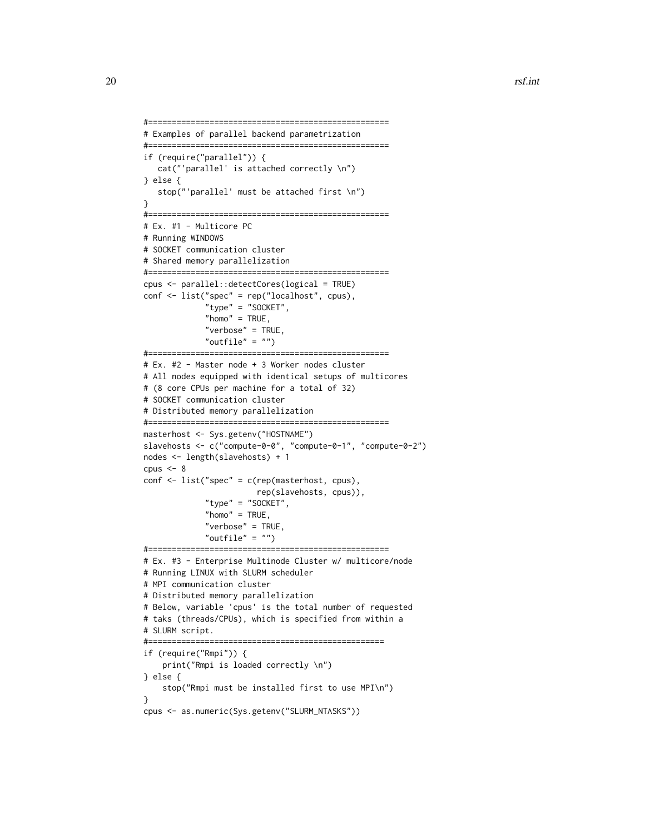```
#===================================================
# Examples of parallel backend parametrization
#===================================================
if (require("parallel")) {
   cat("'parallel' is attached correctly \n")
} else {
   stop("'parallel' must be attached first \n")
}
#===================================================
# Ex. #1 - Multicore PC
# Running WINDOWS
# SOCKET communication cluster
# Shared memory parallelization
#===================================================
cpus <- parallel::detectCores(logical = TRUE)
conf <- list("spec" = rep("localhost", cpus),
             "type" = "SOCKET",
             "home" = TRUE,"verbose" = TRUE,
             "outfile" = "")
#===================================================
# Ex. #2 - Master node + 3 Worker nodes cluster
# All nodes equipped with identical setups of multicores
# (8 core CPUs per machine for a total of 32)
# SOCKET communication cluster
# Distributed memory parallelization
#===================================================
masterhost <- Sys.getenv("HOSTNAME")
slavehosts <- c("compute-0-0", "compute-0-1", "compute-0-2")
nodes <- length(slavehosts) + 1
cpus \leftarrow 8conf <- list("spec" = c(rep(masterhost, cpus),
                        rep(slavehosts, cpus)),
             "type" = "SOCKET",
             "home" = TRUE.
             "verbose" = TRUE,
             "outfile" = "")#===================================================
# Ex. #3 - Enterprise Multinode Cluster w/ multicore/node
# Running LINUX with SLURM scheduler
# MPI communication cluster
# Distributed memory parallelization
# Below, variable 'cpus' is the total number of requested
# taks (threads/CPUs), which is specified from within a
# SLURM script.
#==================================================
if (require("Rmpi")) {
    print("Rmpi is loaded correctly \n")
} else {
    stop("Rmpi must be installed first to use MPI\n")
}
cpus <- as.numeric(Sys.getenv("SLURM_NTASKS"))
```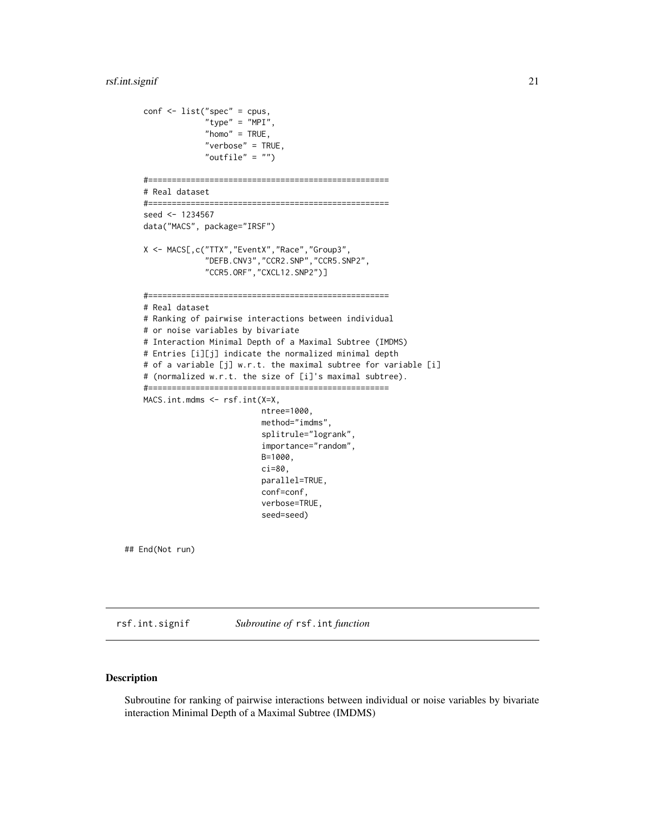```
conf \leftarrow list("spec" = cpus,"type" = "MPI",
                 "home" = TRUE,"verbose" = TRUE,
                 "outfile" = "")
    #===================================================
    # Real dataset
    #===================================================
    seed <- 1234567
    data("MACS", package="IRSF")
   X <- MACS[,c("TTX","EventX","Race","Group3",
                 "DEFB.CNV3","CCR2.SNP","CCR5.SNP2",
                 "CCR5.ORF","CXCL12.SNP2")]
    #===================================================
    # Real dataset
    # Ranking of pairwise interactions between individual
    # or noise variables by bivariate
    # Interaction Minimal Depth of a Maximal Subtree (IMDMS)
    # Entries [i][j] indicate the normalized minimal depth
    # of a variable [j] w.r.t. the maximal subtree for variable [i]
    # (normalized w.r.t. the size of [i]'s maximal subtree).
    #===================================================
   MACS.int.mdms <- rsf.int(X=X,
                             ntree=1000,
                             method="imdms",
                             splitrule="logrank",
                             importance="random",
                             B=1000,
                             ci=80,
                             parallel=TRUE,
                             conf=conf,
                             verbose=TRUE,
                             seed=seed)
## End(Not run)
```
rsf.int.signif *Subroutine of* rsf.int *function*

# Description

Subroutine for ranking of pairwise interactions between individual or noise variables by bivariate interaction Minimal Depth of a Maximal Subtree (IMDMS)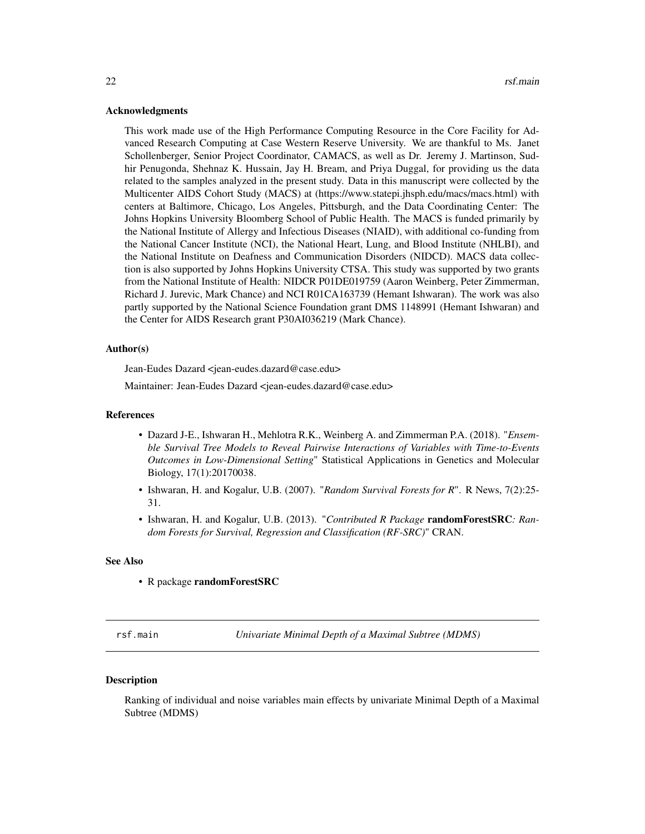#### <span id="page-21-0"></span>Acknowledgments

This work made use of the High Performance Computing Resource in the Core Facility for Advanced Research Computing at Case Western Reserve University. We are thankful to Ms. Janet Schollenberger, Senior Project Coordinator, CAMACS, as well as Dr. Jeremy J. Martinson, Sudhir Penugonda, Shehnaz K. Hussain, Jay H. Bream, and Priya Duggal, for providing us the data related to the samples analyzed in the present study. Data in this manuscript were collected by the Multicenter AIDS Cohort Study (MACS) at (https://www.statepi.jhsph.edu/macs/macs.html) with centers at Baltimore, Chicago, Los Angeles, Pittsburgh, and the Data Coordinating Center: The Johns Hopkins University Bloomberg School of Public Health. The MACS is funded primarily by the National Institute of Allergy and Infectious Diseases (NIAID), with additional co-funding from the National Cancer Institute (NCI), the National Heart, Lung, and Blood Institute (NHLBI), and the National Institute on Deafness and Communication Disorders (NIDCD). MACS data collection is also supported by Johns Hopkins University CTSA. This study was supported by two grants from the National Institute of Health: NIDCR P01DE019759 (Aaron Weinberg, Peter Zimmerman, Richard J. Jurevic, Mark Chance) and NCI R01CA163739 (Hemant Ishwaran). The work was also partly supported by the National Science Foundation grant DMS 1148991 (Hemant Ishwaran) and the Center for AIDS Research grant P30AI036219 (Mark Chance).

#### Author(s)

Jean-Eudes Dazard <jean-eudes.dazard@case.edu>

Maintainer: Jean-Eudes Dazard <jean-eudes.dazard@case.edu>

#### References

- Dazard J-E., Ishwaran H., Mehlotra R.K., Weinberg A. and Zimmerman P.A. (2018). "*Ensemble Survival Tree Models to Reveal Pairwise Interactions of Variables with Time-to-Events Outcomes in Low-Dimensional Setting*" Statistical Applications in Genetics and Molecular Biology, 17(1):20170038.
- Ishwaran, H. and Kogalur, U.B. (2007). "*Random Survival Forests for R*". R News, 7(2):25- 31.
- Ishwaran, H. and Kogalur, U.B. (2013). "*Contributed R Package* randomForestSRC*: Random Forests for Survival, Regression and Classification (RF-SRC)*" CRAN.

#### See Also

• R package randomForestSRC

rsf.main *Univariate Minimal Depth of a Maximal Subtree (MDMS)*

#### **Description**

Ranking of individual and noise variables main effects by univariate Minimal Depth of a Maximal Subtree (MDMS)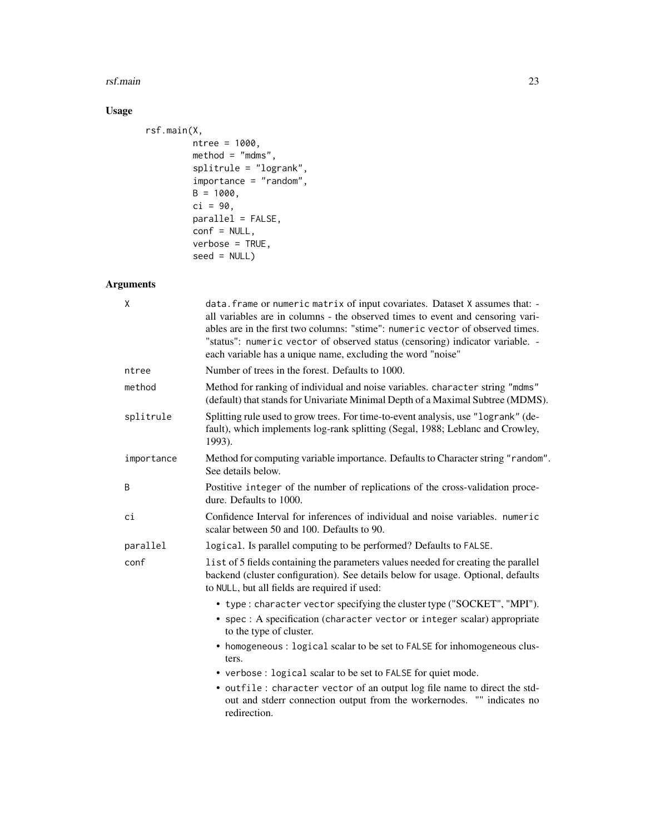#### rsf.main 23

# Usage

```
rsf.main(X,
        ntree = 1000,
        method = "mdms",splitrule = "logrank",
        importance = "random",
        B = 1000,ci = 90,parallel = FALSE,
        conf = NULL,verbose = TRUE,seed = NULL)
```
# Arguments

| X          | data. frame or numeric matrix of input covariates. Dataset X assumes that: -<br>all variables are in columns - the observed times to event and censoring vari-<br>ables are in the first two columns: "stime": numeric vector of observed times.<br>"status": numeric vector of observed status (censoring) indicator variable. -<br>each variable has a unique name, excluding the word "noise" |
|------------|--------------------------------------------------------------------------------------------------------------------------------------------------------------------------------------------------------------------------------------------------------------------------------------------------------------------------------------------------------------------------------------------------|
| ntree      | Number of trees in the forest. Defaults to 1000.                                                                                                                                                                                                                                                                                                                                                 |
| method     | Method for ranking of individual and noise variables. character string "mdms"<br>(default) that stands for Univariate Minimal Depth of a Maximal Subtree (MDMS).                                                                                                                                                                                                                                 |
| splitrule  | Splitting rule used to grow trees. For time-to-event analysis, use "logrank" (de-<br>fault), which implements log-rank splitting (Segal, 1988; Leblanc and Crowley,<br>1993).                                                                                                                                                                                                                    |
| importance | Method for computing variable importance. Defaults to Character string "random".<br>See details below.                                                                                                                                                                                                                                                                                           |
| B          | Postitive integer of the number of replications of the cross-validation proce-<br>dure. Defaults to 1000.                                                                                                                                                                                                                                                                                        |
| ci         | Confidence Interval for inferences of individual and noise variables. numeric<br>scalar between 50 and 100. Defaults to 90.                                                                                                                                                                                                                                                                      |
| parallel   | logical. Is parallel computing to be performed? Defaults to FALSE.                                                                                                                                                                                                                                                                                                                               |
| conf       | list of 5 fields containing the parameters values needed for creating the parallel<br>backend (cluster configuration). See details below for usage. Optional, defaults<br>to NULL, but all fields are required if used:                                                                                                                                                                          |
|            | • type: character vector specifying the cluster type ("SOCKET", "MPI").                                                                                                                                                                                                                                                                                                                          |
|            | • spec : A specification (character vector or integer scalar) appropriate<br>to the type of cluster.                                                                                                                                                                                                                                                                                             |
|            | • homogeneous : logical scalar to be set to FALSE for inhomogeneous clus-<br>ters.                                                                                                                                                                                                                                                                                                               |
|            | • verbose : logical scalar to be set to FALSE for quiet mode.                                                                                                                                                                                                                                                                                                                                    |
|            | • outfile: character vector of an output log file name to direct the std-<br>out and stderr connection output from the workernodes. "" indicates no<br>redirection.                                                                                                                                                                                                                              |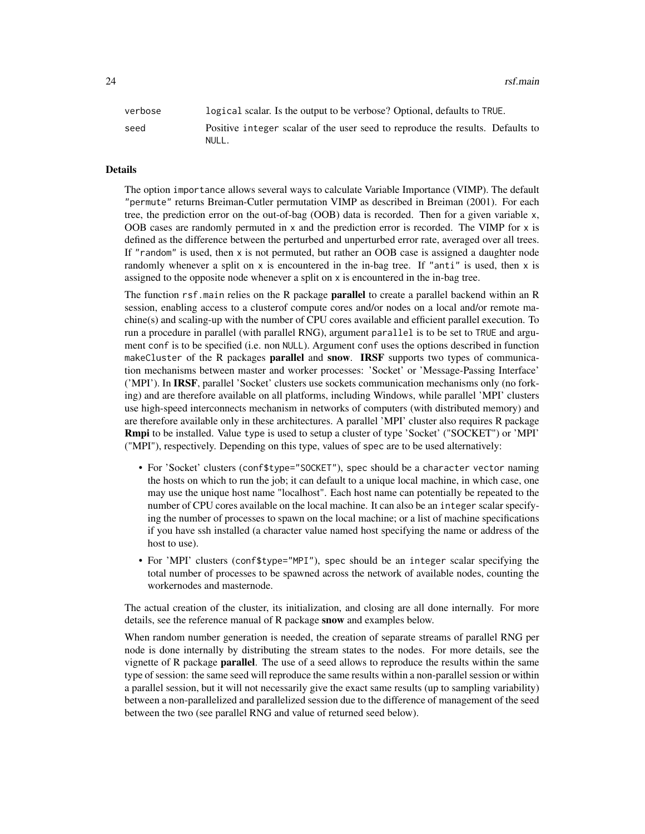24 rsf.main

| verbose | logical scalar. Is the output to be verbose? Optional, defaults to TRUE.                |
|---------|-----------------------------------------------------------------------------------------|
| seed    | Positive integer scalar of the user seed to reproduce the results. Defaults to<br>NULL. |

#### Details

The option importance allows several ways to calculate Variable Importance (VIMP). The default "permute" returns Breiman-Cutler permutation VIMP as described in Breiman (2001). For each tree, the prediction error on the out-of-bag (OOB) data is recorded. Then for a given variable x, OOB cases are randomly permuted in x and the prediction error is recorded. The VIMP for x is defined as the difference between the perturbed and unperturbed error rate, averaged over all trees. If "random" is used, then x is not permuted, but rather an OOB case is assigned a daughter node randomly whenever a split on  $x$  is encountered in the in-bag tree. If "anti" is used, then  $x$  is assigned to the opposite node whenever a split on x is encountered in the in-bag tree.

The function rsf.main relies on the R package **parallel** to create a parallel backend within an R session, enabling access to a clusterof compute cores and/or nodes on a local and/or remote machine(s) and scaling-up with the number of CPU cores available and efficient parallel execution. To run a procedure in parallel (with parallel RNG), argument parallel is to be set to TRUE and argument conf is to be specified (i.e. non NULL). Argument conf uses the options described in function makeCluster of the R packages **parallel** and **snow. IRSF** supports two types of communication mechanisms between master and worker processes: 'Socket' or 'Message-Passing Interface' ('MPI'). In IRSF, parallel 'Socket' clusters use sockets communication mechanisms only (no forking) and are therefore available on all platforms, including Windows, while parallel 'MPI' clusters use high-speed interconnects mechanism in networks of computers (with distributed memory) and are therefore available only in these architectures. A parallel 'MPI' cluster also requires R package Rmpi to be installed. Value type is used to setup a cluster of type 'Socket' ("SOCKET") or 'MPI' ("MPI"), respectively. Depending on this type, values of spec are to be used alternatively:

- For 'Socket' clusters (conf\$type="SOCKET"), spec should be a character vector naming the hosts on which to run the job; it can default to a unique local machine, in which case, one may use the unique host name "localhost". Each host name can potentially be repeated to the number of CPU cores available on the local machine. It can also be an integer scalar specifying the number of processes to spawn on the local machine; or a list of machine specifications if you have ssh installed (a character value named host specifying the name or address of the host to use).
- For 'MPI' clusters (conf\$type="MPI"), spec should be an integer scalar specifying the total number of processes to be spawned across the network of available nodes, counting the workernodes and masternode.

The actual creation of the cluster, its initialization, and closing are all done internally. For more details, see the reference manual of R package snow and examples below.

When random number generation is needed, the creation of separate streams of parallel RNG per node is done internally by distributing the stream states to the nodes. For more details, see the vignette of R package parallel. The use of a seed allows to reproduce the results within the same type of session: the same seed will reproduce the same results within a non-parallel session or within a parallel session, but it will not necessarily give the exact same results (up to sampling variability) between a non-parallelized and parallelized session due to the difference of management of the seed between the two (see parallel RNG and value of returned seed below).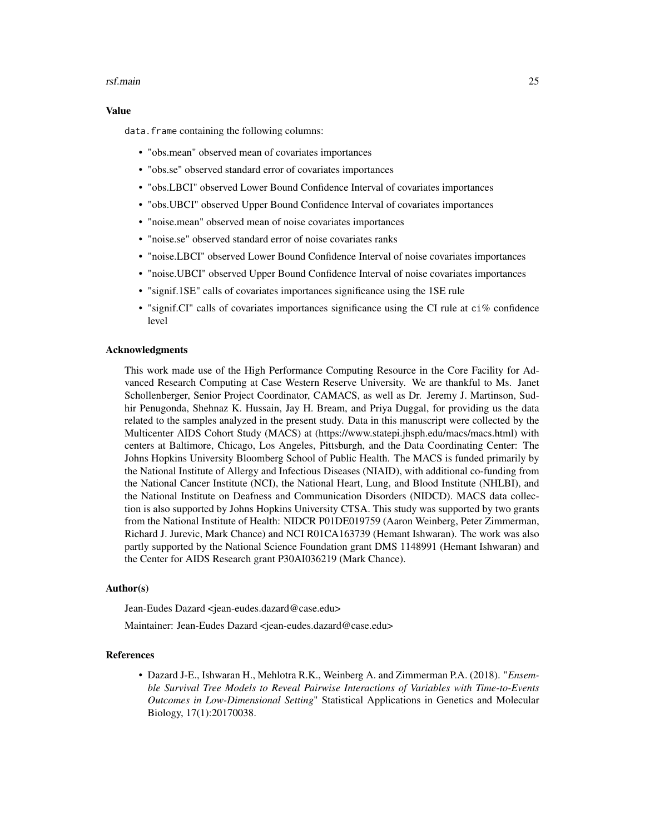#### rsf.main 25

#### Value

data. frame containing the following columns:

- "obs.mean" observed mean of covariates importances
- "obs.se" observed standard error of covariates importances
- "obs.LBCI" observed Lower Bound Confidence Interval of covariates importances
- "obs.UBCI" observed Upper Bound Confidence Interval of covariates importances
- "noise.mean" observed mean of noise covariates importances
- "noise.se" observed standard error of noise covariates ranks
- "noise.LBCI" observed Lower Bound Confidence Interval of noise covariates importances
- "noise.UBCI" observed Upper Bound Confidence Interval of noise covariates importances
- "signif.1SE" calls of covariates importances significance using the 1SE rule
- "signif.CI" calls of covariates importances significance using the CI rule at ci% confidence level

#### Acknowledgments

This work made use of the High Performance Computing Resource in the Core Facility for Advanced Research Computing at Case Western Reserve University. We are thankful to Ms. Janet Schollenberger, Senior Project Coordinator, CAMACS, as well as Dr. Jeremy J. Martinson, Sudhir Penugonda, Shehnaz K. Hussain, Jay H. Bream, and Priya Duggal, for providing us the data related to the samples analyzed in the present study. Data in this manuscript were collected by the Multicenter AIDS Cohort Study (MACS) at (https://www.statepi.jhsph.edu/macs/macs.html) with centers at Baltimore, Chicago, Los Angeles, Pittsburgh, and the Data Coordinating Center: The Johns Hopkins University Bloomberg School of Public Health. The MACS is funded primarily by the National Institute of Allergy and Infectious Diseases (NIAID), with additional co-funding from the National Cancer Institute (NCI), the National Heart, Lung, and Blood Institute (NHLBI), and the National Institute on Deafness and Communication Disorders (NIDCD). MACS data collection is also supported by Johns Hopkins University CTSA. This study was supported by two grants from the National Institute of Health: NIDCR P01DE019759 (Aaron Weinberg, Peter Zimmerman, Richard J. Jurevic, Mark Chance) and NCI R01CA163739 (Hemant Ishwaran). The work was also partly supported by the National Science Foundation grant DMS 1148991 (Hemant Ishwaran) and the Center for AIDS Research grant P30AI036219 (Mark Chance).

#### Author(s)

Jean-Eudes Dazard <jean-eudes.dazard@case.edu>

Maintainer: Jean-Eudes Dazard <jean-eudes.dazard@case.edu>

#### References

• Dazard J-E., Ishwaran H., Mehlotra R.K., Weinberg A. and Zimmerman P.A. (2018). "*Ensemble Survival Tree Models to Reveal Pairwise Interactions of Variables with Time-to-Events Outcomes in Low-Dimensional Setting*" Statistical Applications in Genetics and Molecular Biology, 17(1):20170038.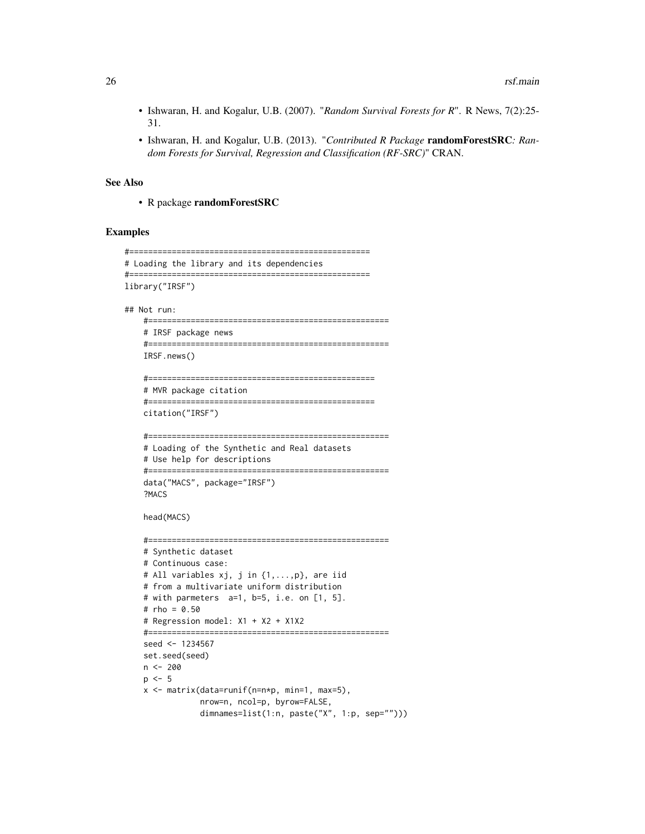- Ishwaran, H. and Kogalur, U.B. (2007). "*Random Survival Forests for R*". R News, 7(2):25- 31.
- Ishwaran, H. and Kogalur, U.B. (2013). "*Contributed R Package* randomForestSRC*: Random Forests for Survival, Regression and Classification (RF-SRC)*" CRAN.

#### See Also

• R package randomForestSRC

# Examples

```
#===================================================
# Loading the library and its dependencies
#===================================================
library("IRSF")
## Not run:
   #===================================================
   # IRSF package news
    #===================================================
   IRSF.news()
    #================================================
    # MVR package citation
    #================================================
   citation("IRSF")
    #===================================================
    # Loading of the Synthetic and Real datasets
    # Use help for descriptions
    #===================================================
    data("MACS", package="IRSF")
    ?MACS
   head(MACS)
    #===================================================
    # Synthetic dataset
   # Continuous case:
   # All variables xj, j in {1,...,p}, are iid
    # from a multivariate uniform distribution
   # with parmeters a=1, b=5, i.e. on [1, 5].
    # rho = 0.50
    # Regression model: X1 + X2 + X1X2
    #===================================================
   seed <- 1234567
   set.seed(seed)
   n <- 200
   p \le -5x <- matrix(data=runif(n=n*p, min=1, max=5),
                nrow=n, ncol=p, byrow=FALSE,
                dimnames=list(1:n, paste("X", 1:p, sep="")))
```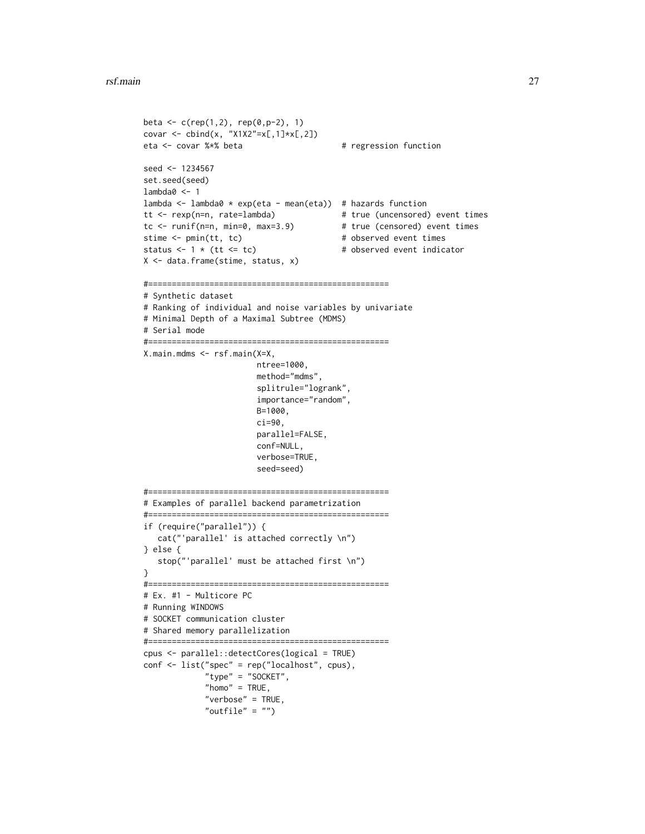```
beta <- c(rep(1,2), rep(0,p-2), 1)covar <- cbind(x, "X1X2"=x[,1]*x[,2])
eta <- covar %*% beta # regression function
seed <- 1234567
set.seed(seed)
lambda0 <- 1
lambda \leq lambda0 * exp(eta - mean(eta)) # hazards function
tt <- rexp(n=n, rate=lambda) # true (uncensored) event times
tc <- runif(n=n, min=0, max=3.9) # true (censored) event times
stime <- pmin(tt, tc) \qquad # observed event times
status \leq -1 * (tt \leq - tc) \qquad # observed event indicator
X <- data.frame(stime, status, x)
#===================================================
# Synthetic dataset
# Ranking of individual and noise variables by univariate
# Minimal Depth of a Maximal Subtree (MDMS)
# Serial mode
#===================================================
X.main.mdms <- rsf.main(X=X,
                       ntree=1000,
                       method="mdms",
                       splitrule="logrank",
                       importance="random",
                       B=1000,
                       ci=90,
                       parallel=FALSE,
                       conf=NULL,
                       verbose=TRUE,
                       seed=seed)
#===================================================
# Examples of parallel backend parametrization
#===================================================
if (require("parallel")) {
   cat("'parallel' is attached correctly \n")
} else {
   stop("'parallel' must be attached first \n")
}
#===================================================
# Ex. #1 - Multicore PC
# Running WINDOWS
# SOCKET communication cluster
# Shared memory parallelization
#===================================================
cpus <- parallel::detectCores(logical = TRUE)
conf <- list("spec" = rep("localhost", cpus),
             "type" = "SOCKET",
            "home" = TRUE,"verbose" = TRUE,
             "outfile" = "")
```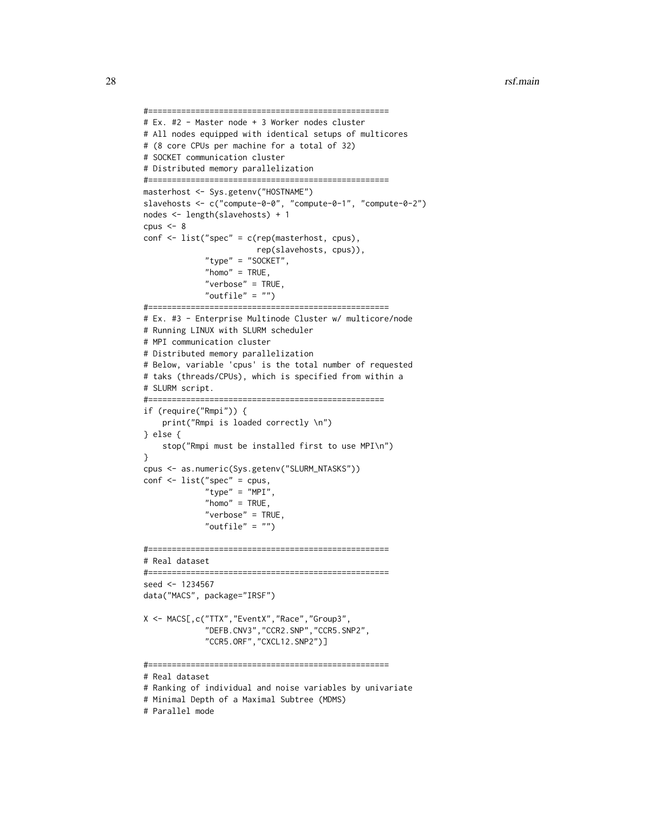```
#===================================================
# Ex. #2 - Master node + 3 Worker nodes cluster
# All nodes equipped with identical setups of multicores
# (8 core CPUs per machine for a total of 32)
# SOCKET communication cluster
# Distributed memory parallelization
#===================================================
masterhost <- Sys.getenv("HOSTNAME")
slavehosts <- c("compute-0-0", "compute-0-1", "compute-0-2")
nodes <- length(slavehosts) + 1
cpus <-8conf <- list("spec" = c(rep(masterhost, cpus),
                        rep(slavehosts, cpus)),
             "type" = "SOCKET",
             "home" = TRUE,"verbose" = TRUE,
             "outfile" = "")
#===================================================
# Ex. #3 - Enterprise Multinode Cluster w/ multicore/node
# Running LINUX with SLURM scheduler
# MPI communication cluster
# Distributed memory parallelization
# Below, variable 'cpus' is the total number of requested
# taks (threads/CPUs), which is specified from within a
# SLURM script.
#==================================================
if (require("Rmpi")) {
    print("Rmpi is loaded correctly \n")
} else {
    stop("Rmpi must be installed first to use MPI\n")
}
cpus <- as.numeric(Sys.getenv("SLURM_NTASKS"))
conf <- list("spec" = cpus,
             "type" = "MPI",
             "home" = TRUE,"verbose" = TRUE,
             "outfile" = "")#===================================================
# Real dataset
#===================================================
seed <- 1234567
data("MACS", package="IRSF")
X <- MACS[,c("TTX","EventX","Race","Group3",
             "DEFB.CNV3","CCR2.SNP","CCR5.SNP2",
             "CCR5.ORF","CXCL12.SNP2")]
#===================================================
# Real dataset
# Ranking of individual and noise variables by univariate
# Minimal Depth of a Maximal Subtree (MDMS)
```

```
# Parallel mode
```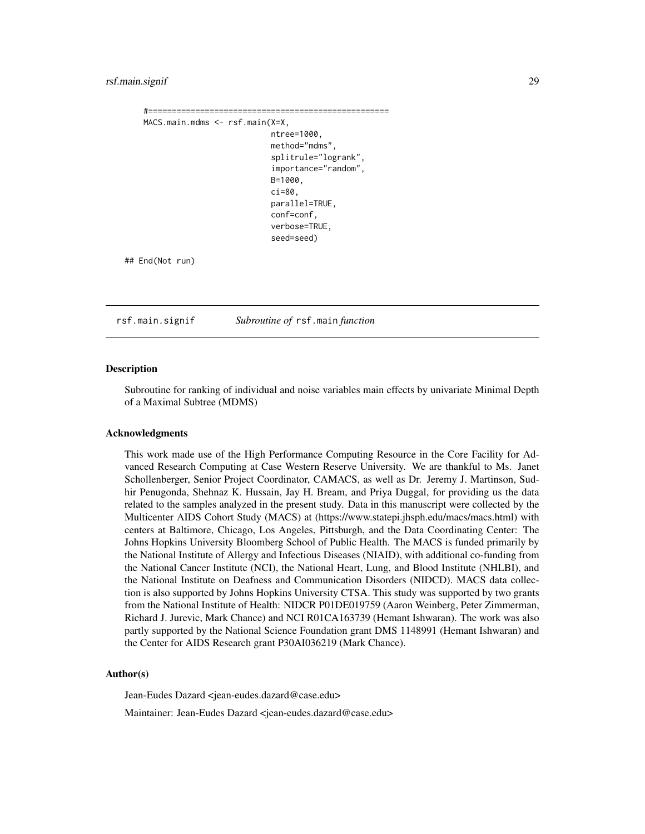#### <span id="page-28-0"></span>rsf.main.signif 29

```
#===================================================
MACS.main.mdms <- rsf.main(X=X,
                               ntree=1000,
                               method="mdms",
                                splitrule="logrank",
                                importance="random",
                               B=1000,
                               ci=80,
                               parallel=TRUE,
                               conf=conf,
                                verbose=TRUE,
                                seed=seed)
```
## End(Not run)

rsf.main.signif *Subroutine of* rsf.main *function*

#### Description

Subroutine for ranking of individual and noise variables main effects by univariate Minimal Depth of a Maximal Subtree (MDMS)

#### Acknowledgments

This work made use of the High Performance Computing Resource in the Core Facility for Advanced Research Computing at Case Western Reserve University. We are thankful to Ms. Janet Schollenberger, Senior Project Coordinator, CAMACS, as well as Dr. Jeremy J. Martinson, Sudhir Penugonda, Shehnaz K. Hussain, Jay H. Bream, and Priya Duggal, for providing us the data related to the samples analyzed in the present study. Data in this manuscript were collected by the Multicenter AIDS Cohort Study (MACS) at (https://www.statepi.jhsph.edu/macs/macs.html) with centers at Baltimore, Chicago, Los Angeles, Pittsburgh, and the Data Coordinating Center: The Johns Hopkins University Bloomberg School of Public Health. The MACS is funded primarily by the National Institute of Allergy and Infectious Diseases (NIAID), with additional co-funding from the National Cancer Institute (NCI), the National Heart, Lung, and Blood Institute (NHLBI), and the National Institute on Deafness and Communication Disorders (NIDCD). MACS data collection is also supported by Johns Hopkins University CTSA. This study was supported by two grants from the National Institute of Health: NIDCR P01DE019759 (Aaron Weinberg, Peter Zimmerman, Richard J. Jurevic, Mark Chance) and NCI R01CA163739 (Hemant Ishwaran). The work was also partly supported by the National Science Foundation grant DMS 1148991 (Hemant Ishwaran) and the Center for AIDS Research grant P30AI036219 (Mark Chance).

#### Author(s)

Jean-Eudes Dazard <jean-eudes.dazard@case.edu>

Maintainer: Jean-Eudes Dazard <jean-eudes.dazard@case.edu>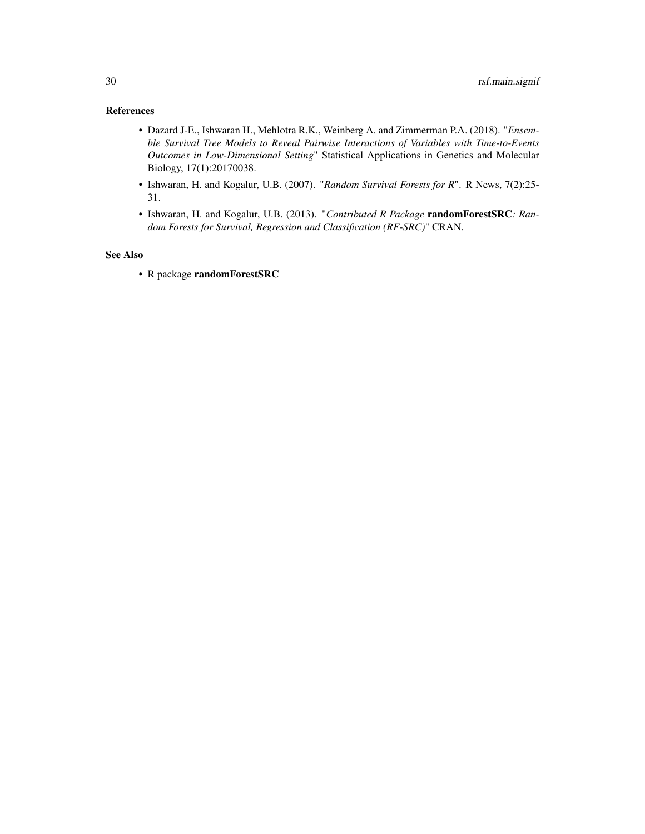# References

- Dazard J-E., Ishwaran H., Mehlotra R.K., Weinberg A. and Zimmerman P.A. (2018). "*Ensemble Survival Tree Models to Reveal Pairwise Interactions of Variables with Time-to-Events Outcomes in Low-Dimensional Setting*" Statistical Applications in Genetics and Molecular Biology, 17(1):20170038.
- Ishwaran, H. and Kogalur, U.B. (2007). "*Random Survival Forests for R*". R News, 7(2):25- 31.
- Ishwaran, H. and Kogalur, U.B. (2013). "*Contributed R Package* randomForestSRC*: Random Forests for Survival, Regression and Classification (RF-SRC)*" CRAN.

# See Also

• R package randomForestSRC